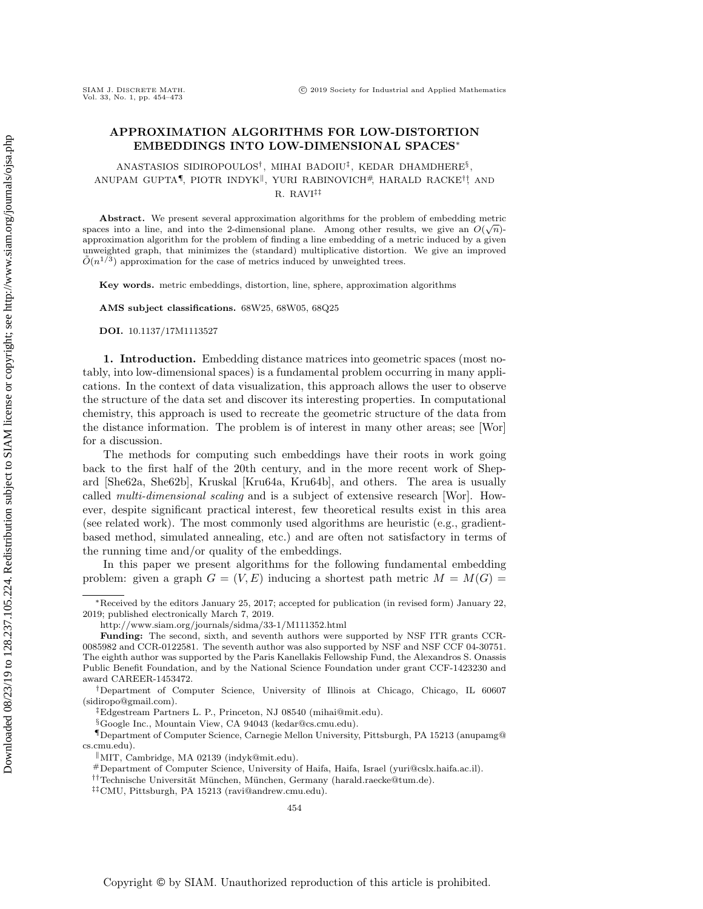## APPROXIMATION ALGORITHMS FOR LOW-DISTORTION EMBEDDINGS INTO LOW-DIMENSIONAL SPACES<sup>∗</sup>

ANASTASIOS SIDIROPOULOS<sup>†</sup>, MIHAI BADOIU<sup>‡</sup>, KEDAR DHAMDHERE<sup>§</sup>,  $A$ NUPAM GUPTA $\P$ , PIOTR INDYK ${}^{\parallel}$ , YURI RABINOVICH ${}^{\#}$ , HARALD RACKE ${}^{\dagger}$  AND R. RAVI‡‡

Abstract. We present several approximation algorithms for the problem of embedding metric spaces into a line, and into the 2-dimensional plane. Among other results, we give an  $O(\sqrt{n})$ approximation algorithm for the problem of finding a line embedding of a metric induced by a given unweighted graph, that minimizes the (standard) multiplicative distortion. We give an improved  $\tilde{O}(n^{1/3})$  approximation for the case of metrics induced by unweighted trees.

Key words. metric embeddings, distortion, line, sphere, approximation algorithms

AMS subject classifications. 68W25, 68W05, 68Q25

DOI. 10.1137/17M1113527

1. Introduction. Embedding distance matrices into geometric spaces (most notably, into low-dimensional spaces) is a fundamental problem occurring in many applications. In the context of data visualization, this approach allows the user to observe the structure of the data set and discover its interesting properties. In computational chemistry, this approach is used to recreate the geometric structure of the data from the distance information. The problem is of interest in many other areas; see [\[Wor\]](#page-19-0) for a discussion.

The methods for computing such embeddings have their roots in work going back to the first half of the 20th century, and in the more recent work of Shepard [\[She62a,](#page-19-1) [She62b\]](#page-19-2), Kruskal [\[Kru64a,](#page-19-3) [Kru64b\]](#page-19-4), and others. The area is usually called multi-dimensional scaling and is a subject of extensive research [\[Wor\]](#page-19-0). However, despite significant practical interest, few theoretical results exist in this area (see related work). The most commonly used algorithms are heuristic (e.g., gradientbased method, simulated annealing, etc.) and are often not satisfactory in terms of the running time and/or quality of the embeddings.

In this paper we present algorithms for the following fundamental embedding problem: given a graph  $G = (V, E)$  inducing a shortest path metric  $M = M(G)$ 

<sup>∗</sup>Received by the editors January 25, 2017; accepted for publication (in revised form) January 22, 2019; published electronically March 7, 2019.

<http://www.siam.org/journals/sidma/33-1/M111352.html>

Funding: The second, sixth, and seventh authors were supported by NSF ITR grants CCR-0085982 and CCR-0122581. The seventh author was also supported by NSF and NSF CCF 04-30751. The eighth author was supported by the Paris Kanellakis Fellowship Fund, the Alexandros S. Onassis Public Benefit Foundation, and by the National Science Foundation under grant CCF-1423230 and award CAREER-1453472.

<sup>†</sup>Department of Computer Science, University of Illinois at Chicago, Chicago, IL 60607 [\(sidiropo@gmail.com\)](mailto:sidiropo@gmail.com).

<sup>‡</sup>Edgestream Partners L. P., Princeton, NJ 08540 [\(mihai@mit.edu\)](mailto:mihai@mit.edu).

<sup>§</sup>Google Inc., Mountain View, CA 94043 [\(kedar@cs.cmu.edu\)](mailto:kedar@cs.cmu.edu).

<sup>¶</sup>Department of Computer Science, Carnegie Mellon University, Pittsburgh, PA 15213 [\(anupamg@](mailto:anupamg@cs.cmu.edu) [cs.cmu.edu\)](mailto:anupamg@cs.cmu.edu).

<sup>k</sup>MIT, Cambridge, MA 02139 [\(indyk@mit.edu\)](mailto:indyk@mit.edu).

<sup>#</sup>Department of Computer Science, University of Haifa, Haifa, Israel [\(yuri@cslx.haifa.ac.il\)](mailto:yuri@cslx.haifa.ac.il).

<sup>&</sup>lt;sup>††</sup>Technische Universität München, München, Germany [\(harald.raecke@tum.de\)](mailto:harald.raecke@tum.de).

<sup>‡‡</sup>CMU, Pittsburgh, PA 15213 [\(ravi@andrew.cmu.edu\)](mailto:ravi@andrew.cmu.edu).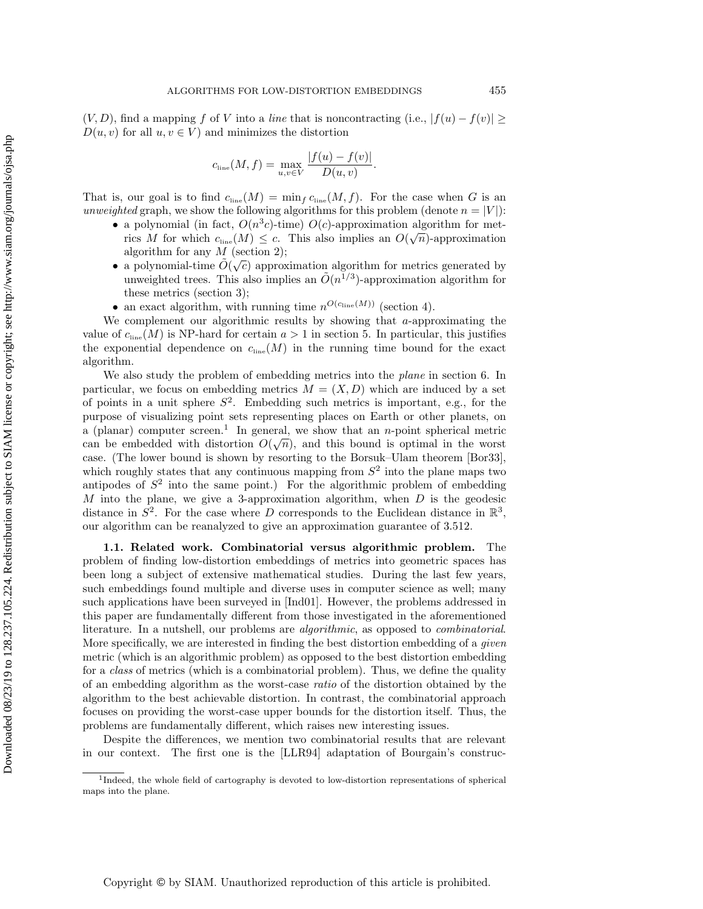$(V, D)$ , find a mapping f of V into a line that is noncontracting (i.e.,  $|f(u) - f(v)| \ge$  $D(u, v)$  for all  $u, v \in V$  and minimizes the distortion

$$
c_{\text{line}}(M, f) = \max_{u, v \in V} \frac{|f(u) - f(v)|}{D(u, v)}.
$$

That is, our goal is to find  $c_{\text{line}}(M) = \min_f c_{\text{line}}(M, f)$ . For the case when G is an unweighted graph, we show the following algorithms for this problem (denote  $n = |V|$ ):

- a polynomial (in fact,  $O(n^3c)$ -time)  $O(c)$ -approximation algorithm for meta polynomial (in fact,  $O(n^c c)$ -time)  $O(c)$ -approximation algorithm for metrics M for which  $c_{\text{line}}(M) \leq c$ . This also implies an  $O(\sqrt{n})$ -approximation algorithm for any  $M$  (section [2\)](#page-3-0);
- a polynomial-time  $\tilde{O}(\sqrt{c})$  approximation algorithm for metrics generated by unweighted trees. This also implies an  $\tilde{O}(n^{1/3})$ -approximation algorithm for these metrics (section [3\)](#page-6-0);
- an exact algorithm, with running time  $n^{O(c_{\text{line}}(M))}$  (section [4\)](#page-10-0).

We complement our algorithmic results by showing that a-approximating the value of  $c_{\text{line}}(M)$  is NP-hard for certain  $a > 1$  in section [5.](#page-12-0) In particular, this justifies the exponential dependence on  $c_{\text{line}}(M)$  in the running time bound for the exact algorithm.

We also study the problem of embedding metrics into the *plane* in section [6.](#page-13-0) In particular, we focus on embedding metrics  $M = (X, D)$  which are induced by a set of points in a unit sphere  $S^2$ . Embedding such metrics is important, e.g., for the purpose of visualizing point sets representing places on Earth or other planets, on a (planar) computer screen.<sup>[1](#page-1-0)</sup> In general, we show that an *n*-point spherical metric can be embedded with distortion  $O(\sqrt{n})$ , and this bound is optimal in the worst case. (The lower bound is shown by resorting to the Borsuk–Ulam theorem [\[Bor33\]](#page-18-0), which roughly states that any continuous mapping from  $S<sup>2</sup>$  into the plane maps two antipodes of  $S^2$  into the same point.) For the algorithmic problem of embedding M into the plane, we give a 3-approximation algorithm, when  $D$  is the geodesic distance in  $S^2$ . For the case where D corresponds to the Euclidean distance in  $\mathbb{R}^3$ , our algorithm can be reanalyzed to give an approximation guarantee of 3.512.

1.1. Related work. Combinatorial versus algorithmic problem. The problem of finding low-distortion embeddings of metrics into geometric spaces has been long a subject of extensive mathematical studies. During the last few years, such embeddings found multiple and diverse uses in computer science as well; many such applications have been surveyed in [\[Ind01\]](#page-19-5). However, the problems addressed in this paper are fundamentally different from those investigated in the aforementioned literature. In a nutshell, our problems are algorithmic, as opposed to combinatorial. More specifically, we are interested in finding the best distortion embedding of a *given* metric (which is an algorithmic problem) as opposed to the best distortion embedding for a class of metrics (which is a combinatorial problem). Thus, we define the quality of an embedding algorithm as the worst-case ratio of the distortion obtained by the algorithm to the best achievable distortion. In contrast, the combinatorial approach focuses on providing the worst-case upper bounds for the distortion itself. Thus, the problems are fundamentally different, which raises new interesting issues.

Despite the differences, we mention two combinatorial results that are relevant in our context. The first one is the [\[LLR94\]](#page-19-6) adaptation of Bourgain's construc-

<span id="page-1-0"></span><sup>&</sup>lt;sup>1</sup>Indeed, the whole field of cartography is devoted to low-distortion representations of spherical maps into the plane.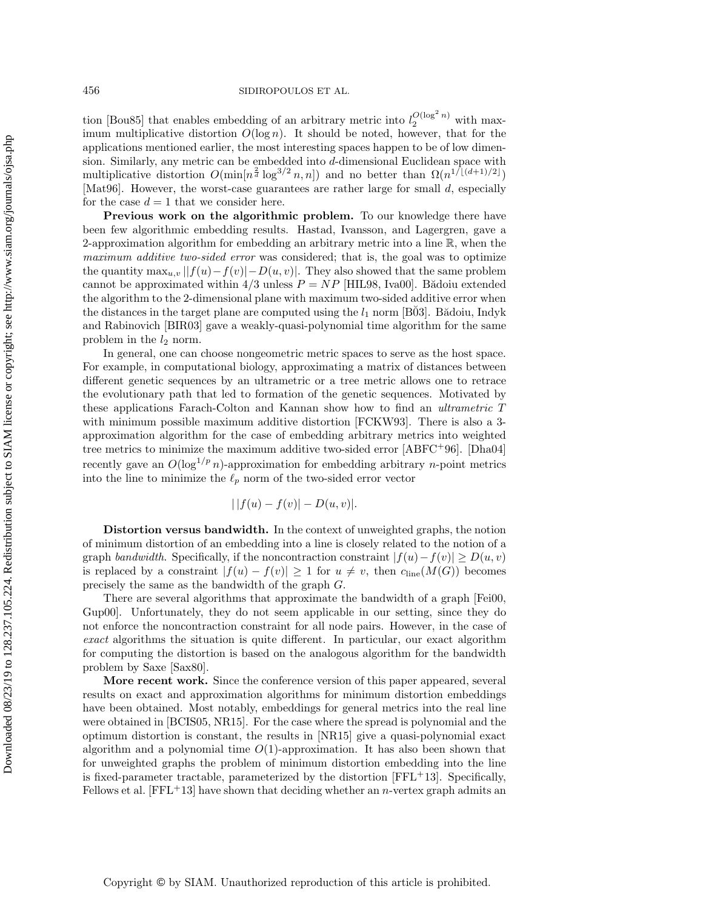tion [\[Bou85\]](#page-18-1) that enables embedding of an arbitrary metric into  $l_2^{O(\log^2 n)}$  with maximum multiplicative distortion  $O(\log n)$ . It should be noted, however, that for the applications mentioned earlier, the most interesting spaces happen to be of low dimension. Similarly, any metric can be embedded into d-dimensional Euclidean space with multiplicative distortion  $O(\min\left[n^{\frac{2}{d}}\log^{3/2}n, n\right])$  and no better than  $\Omega(n^{1/[(d+1)/2]})$ [\[Mat96\]](#page-19-7). However, the worst-case guarantees are rather large for small d, especially for the case  $d = 1$  that we consider here.

Previous work on the algorithmic problem. To our knowledge there have been few algorithmic embedding results. Hastad, Ivansson, and Lagergren, gave a 2-approximation algorithm for embedding an arbitrary metric into a line R, when the maximum additive two-sided error was considered; that is, the goal was to optimize the quantity  $\max_{u,v} ||f(u)-f(v)|-D(u,v)|$ . They also showed that the same problem cannot be approximated within  $4/3$  unless  $P = NP$  [\[HIL98,](#page-18-2) [Iva00\]](#page-19-8). Bădoiu extended the algorithm to the 2-dimensional plane with maximum two-sided additive error when the distances in the target plane are computed using the  $l_1$  norm [B03]. Badoiu, Indyk and Rabinovich [\[BIR03\]](#page-18-4) gave a weakly-quasi-polynomial time algorithm for the same problem in the  $l_2$  norm.

In general, one can choose nongeometric metric spaces to serve as the host space. For example, in computational biology, approximating a matrix of distances between different genetic sequences by an ultrametric or a tree metric allows one to retrace the evolutionary path that led to formation of the genetic sequences. Motivated by these applications Farach-Colton and Kannan show how to find an ultrametric T with minimum possible maximum additive distortion [\[FCKW93\]](#page-18-5). There is also a 3 approximation algorithm for the case of embedding arbitrary metrics into weighted tree metrics to minimize the maximum additive two-sided error [\[ABFC](#page-18-6)+96]. [\[Dha04\]](#page-18-7) recently gave an  $O(\log^{1/p} n)$ -approximation for embedding arbitrary *n*-point metrics into the line to minimize the  $\ell_p$  norm of the two-sided error vector

$$
||f(u) - f(v)| - D(u, v)|.
$$

Distortion versus bandwidth. In the context of unweighted graphs, the notion of minimum distortion of an embedding into a line is closely related to the notion of a graph bandwidth. Specifically, if the noncontraction constraint  $|f(u)-f(v)| \ge D(u, v)$ is replaced by a constraint  $|f(u) - f(v)| \geq 1$  for  $u \neq v$ , then  $c_{\text{line}}(M(G))$  becomes precisely the same as the bandwidth of the graph G.

There are several algorithms that approximate the bandwidth of a graph [\[Fei00,](#page-18-8) [Gup00\]](#page-18-9). Unfortunately, they do not seem applicable in our setting, since they do not enforce the noncontraction constraint for all node pairs. However, in the case of exact algorithms the situation is quite different. In particular, our exact algorithm for computing the distortion is based on the analogous algorithm for the bandwidth problem by Saxe [\[Sax80\]](#page-19-9).

More recent work. Since the conference version of this paper appeared, several results on exact and approximation algorithms for minimum distortion embeddings have been obtained. Most notably, embeddings for general metrics into the real line were obtained in [\[BCIS05,](#page-18-10) [NR15\]](#page-19-10). For the case where the spread is polynomial and the optimum distortion is constant, the results in [\[NR15\]](#page-19-10) give a quasi-polynomial exact algorithm and a polynomial time  $O(1)$ -approximation. It has also been shown that for unweighted graphs the problem of minimum distortion embedding into the line is fixed-parameter tractable, parameterized by the distortion  $[FFL+13]$  $[FFL+13]$ . Specifically, Fellows et al.  $[FFL+13]$  $[FFL+13]$  have shown that deciding whether an *n*-vertex graph admits an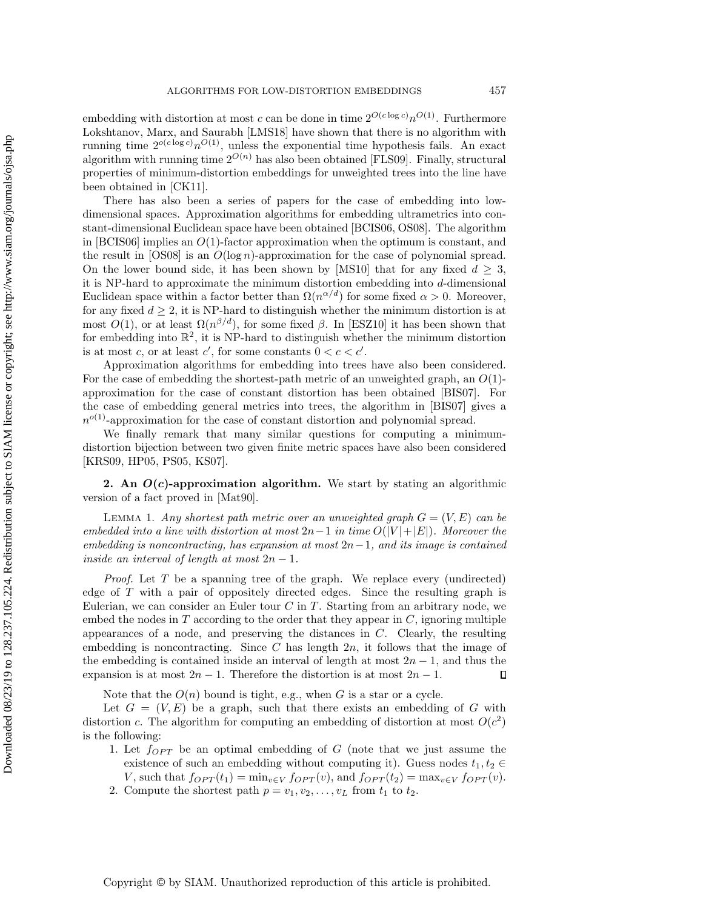embedding with distortion at most c can be done in time  $2^{O(c \log c)} n^{O(1)}$ . Furthermore Lokshtanov, Marx, and Saurabh [\[LMS18\]](#page-19-11) have shown that there is no algorithm with running time  $2^{o(c \log c)} n^{O(1)}$ , unless the exponential time hypothesis fails. An exact algorithm with running time  $2^{O(n)}$  has also been obtained [\[FLS09\]](#page-18-12). Finally, structural properties of minimum-distortion embeddings for unweighted trees into the line have been obtained in [\[CK11\]](#page-18-13).

There has also been a series of papers for the case of embedding into lowdimensional spaces. Approximation algorithms for embedding ultrametrics into constant-dimensional Euclidean space have been obtained [\[BCIS06,](#page-18-14) [OS08\]](#page-19-12). The algorithm in [\[BCIS06\]](#page-18-14) implies an  $O(1)$ -factor approximation when the optimum is constant, and the result in  $[OS08]$  is an  $O(\log n)$ -approximation for the case of polynomial spread. On the lower bound side, it has been shown by [\[MS10\]](#page-19-13) that for any fixed  $d \geq 3$ , it is NP-hard to approximate the minimum distortion embedding into d-dimensional Euclidean space within a factor better than  $\Omega(n^{\alpha/d})$  for some fixed  $\alpha > 0$ . Moreover, for any fixed  $d \geq 2$ , it is NP-hard to distinguish whether the minimum distortion is at most  $O(1)$ , or at least  $\Omega(n^{\beta/d})$ , for some fixed  $\beta$ . In [\[ESZ10\]](#page-18-15) it has been shown that for embedding into  $\mathbb{R}^2$ , it is NP-hard to distinguish whether the minimum distortion is at most c, or at least c', for some constants  $0 < c < c'$ .

Approximation algorithms for embedding into trees have also been considered. For the case of embedding the shortest-path metric of an unweighted graph, an  $O(1)$ approximation for the case of constant distortion has been obtained [\[BIS07\]](#page-18-16). For the case of embedding general metrics into trees, the algorithm in [\[BIS07\]](#page-18-16) gives a  $n^{o(1)}$ -approximation for the case of constant distortion and polynomial spread.

We finally remark that many similar questions for computing a minimumdistortion bijection between two given finite metric spaces have also been considered [\[KRS09,](#page-19-14) [HP05,](#page-18-17) [PS05,](#page-19-15) [KS07\]](#page-19-16).

<span id="page-3-0"></span>2. An  $O(c)$ -approximation algorithm. We start by stating an algorithmic version of a fact proved in [\[Mat90\]](#page-19-17).

<span id="page-3-1"></span>LEMMA 1. Any shortest path metric over an unweighted graph  $G = (V, E)$  can be embedded into a line with distortion at most  $2n-1$  in time  $O(|V|+|E|)$ . Moreover the embedding is noncontracting, has expansion at most  $2n-1$ , and its image is contained inside an interval of length at most  $2n - 1$ .

*Proof.* Let  $T$  be a spanning tree of the graph. We replace every (undirected) edge of  $T$  with a pair of oppositely directed edges. Since the resulting graph is Eulerian, we can consider an Euler tour  $C$  in  $T$ . Starting from an arbitrary node, we embed the nodes in  $T$  according to the order that they appear in  $C$ , ignoring multiple appearances of a node, and preserving the distances in C. Clearly, the resulting embedding is noncontracting. Since  $C$  has length  $2n$ , it follows that the image of the embedding is contained inside an interval of length at most  $2n - 1$ , and thus the expansion is at most  $2n - 1$ . Therefore the distortion is at most  $2n - 1$ .  $\Box$ 

Note that the  $O(n)$  bound is tight, e.g., when G is a star or a cycle.

Let  $G = (V, E)$  be a graph, such that there exists an embedding of G with distortion c. The algorithm for computing an embedding of distortion at most  $O(c^2)$ is the following:

- 1. Let  $f_{OPT}$  be an optimal embedding of G (note that we just assume the existence of such an embedding without computing it). Guess nodes  $t_1, t_2 \in$ V, such that  $f_{OPT}(t_1) = \min_{v \in V} f_{OPT}(v)$ , and  $f_{OPT}(t_2) = \max_{v \in V} f_{OPT}(v)$ .
- 2. Compute the shortest path  $p = v_1, v_2, \ldots, v_L$  from  $t_1$  to  $t_2$ .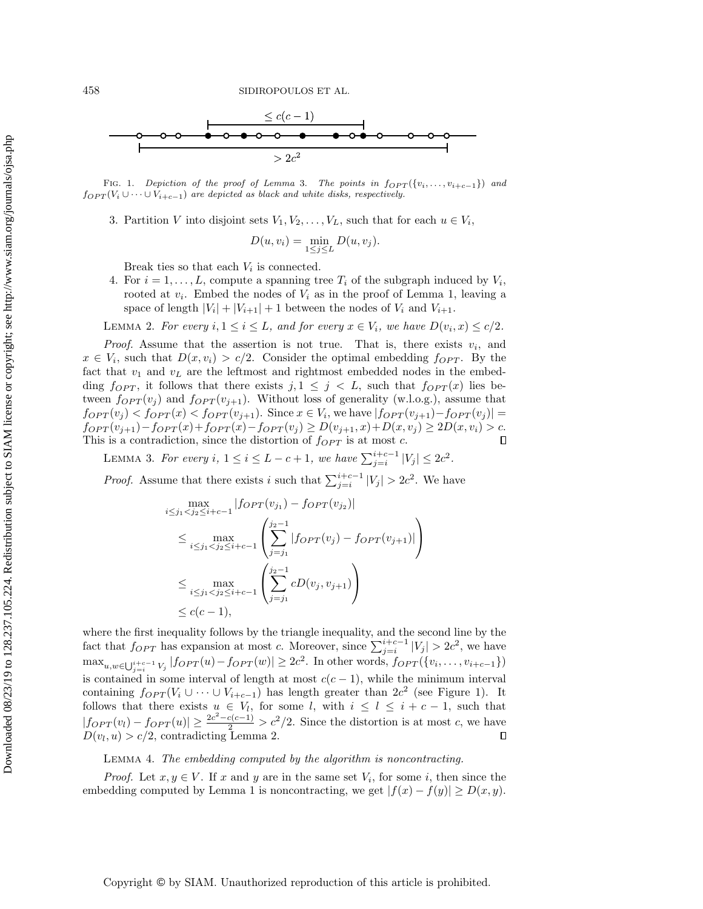<span id="page-4-1"></span>

FIG. 1. Depiction of the proof of Lemma [3.](#page-4-0) The points in  $f_{OPT}(\{v_i, \ldots, v_{i+c-1}\})$  and  $f_{OPT}(V_i \cup \cdots \cup V_{i+c-1})$  are depicted as black and white disks, respectively.

3. Partition V into disjoint sets  $V_1, V_2, \ldots, V_L$ , such that for each  $u \in V_i$ ,

$$
D(u, v_i) = \min_{1 \le j \le L} D(u, v_j).
$$

Break ties so that each  $V_i$  is connected.

4. For  $i = 1, ..., L$ , compute a spanning tree  $T_i$  of the subgraph induced by  $V_i$ , rooted at  $v_i$ . Embed the nodes of  $V_i$  as in the proof of Lemma [1,](#page-3-1) leaving a space of length  $|V_i| + |V_{i+1}| + 1$  between the nodes of  $V_i$  and  $V_{i+1}$ .

<span id="page-4-2"></span>LEMMA 2. For every  $i, 1 \le i \le L$ , and for every  $x \in V_i$ , we have  $D(v_i, x) \le c/2$ .

*Proof.* Assume that the assertion is not true. That is, there exists  $v_i$ , and  $x \in V_i$ , such that  $D(x, v_i) > c/2$ . Consider the optimal embedding  $f_{OPT}$ . By the fact that  $v_1$  and  $v_L$  are the leftmost and rightmost embedded nodes in the embedding  $f_{OPT}$ , it follows that there exists  $j, 1 \leq j \leq L$ , such that  $f_{OPT}(x)$  lies between  $f_{OPT}(v_j)$  and  $f_{OPT}(v_{j+1})$ . Without loss of generality (w.l.o.g.), assume that  $f_{OPT}(v_j) < f_{OPT}(x) < f_{OPT}(v_{j+1})$ . Since  $x \in V_i$ , we have  $|f_{OPT}(v_{j+1}) - f_{OPT}(v_j)| =$  $f_{OPT}(v_{j+1})-f_{OPT}(x)+f_{OPT}(x)-f_{OPT}(v_j) \ge D(v_{j+1},x)+D(x,v_j) \ge 2D(x,v_i) > c.$ This is a contradiction, since the distortion of  $f_{OPT}$  is at most  $c$ .  $\Box$ 

<span id="page-4-0"></span>LEMMA 3. For every  $i, 1 \leq i \leq L-c+1$ , we have  $\sum_{j=i}^{i+c-1} |V_j| \leq 2c^2$ .

*Proof.* Assume that there exists i such that  $\sum_{j=i}^{i+c-1} |V_j| > 2c^2$ . We have

$$
\max_{i \leq j_1 < j_2 \leq i+c-1} |forr(v_{j_1}) - forr(v_{j_2})|
$$
\n
$$
\leq \max_{i \leq j_1 < j_2 \leq i+c-1} \left( \sum_{j=j_1}^{j_2-1} |forr(v_j) - forr(v_{j+1})| \right)
$$
\n
$$
\leq \max_{i \leq j_1 < j_2 \leq i+c-1} \left( \sum_{j=j_1}^{j_2-1} cD(v_j, v_{j+1}) \right)
$$
\n
$$
\leq c(c-1),
$$

where the first inequality follows by the triangle inequality, and the second line by the fact that  $f_{OPT}$  has expansion at most c. Moreover, since  $\sum_{j=i}^{i+c-1} |V_j| > 2c^2$ , we have  $\max_{u,w \in \bigcup_{j=i}^{i+c-1} V_j} |f_{OPT}(u) - f_{OPT}(w)| \ge 2c^2$ . In other words,  $f_{OPT}(\{v_i, \ldots, v_{i+c-1}\})$ is contained in some interval of length at most  $c(c-1)$ , while the minimum interval containing  $f_{OPT}(V_i \cup \cdots \cup V_{i+c-1})$  has length greater than  $2c^2$  (see Figure [1\)](#page-4-1). It follows that there exists  $u \in V_l$ , for some l, with  $i \leq l \leq i + c - 1$ , such that  $|f_{OPT}(v_l) - f_{OPT}(u)| \geq \frac{2c^2 - c(c-1)}{2} > c^2/2$ . Since the distortion is at most c, we have  $D(v_l, u) > c/2$ , contradicting Lemma [2.](#page-4-2)

<span id="page-4-3"></span>Lemma 4. The embedding computed by the algorithm is noncontracting.

*Proof.* Let  $x, y \in V$ . If x and y are in the same set  $V_i$ , for some i, then since the embedding computed by Lemma [1](#page-3-1) is noncontracting, we get  $|f(x) - f(y)| \ge D(x, y)$ .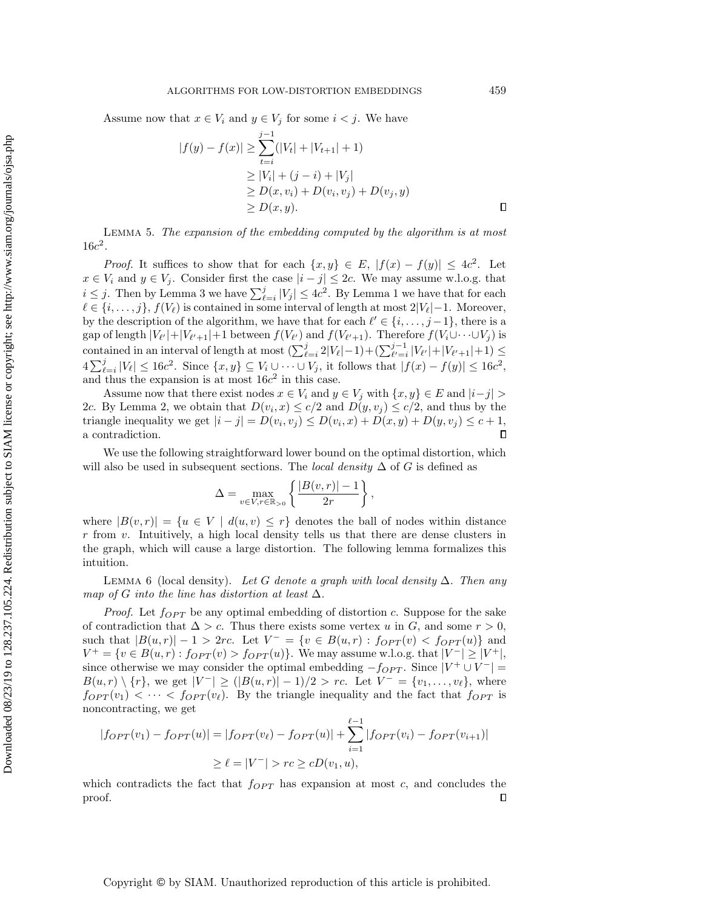Assume now that  $x \in V_i$  and  $y \in V_j$  for some  $i < j$ . We have

$$
|f(y) - f(x)| \ge \sum_{t=i}^{j-1} (|V_t| + |V_{t+1}| + 1)
$$
  
\n
$$
\ge |V_i| + (j - i) + |V_j|
$$
  
\n
$$
\ge D(x, v_i) + D(v_i, v_j) + D(v_j, y)
$$
  
\n
$$
\ge D(x, y).
$$

<span id="page-5-1"></span>Lemma 5. The expansion of the embedding computed by the algorithm is at most  $16c^2$ .

*Proof.* It suffices to show that for each  $\{x, y\} \in E$ ,  $|f(x) - f(y)| \leq 4c^2$ . Let  $x \in V_i$  and  $y \in V_j$ . Consider first the case  $|i - j| \leq 2c$ . We may assume w.l.o.g. that  $i \leq j$ . Then by Lemma [3](#page-4-0) we have  $\sum_{\ell=i}^{j} |V_j| \leq 4c^2$ . By Lemma [1](#page-3-1) we have that for each  $\ell \in \{i, \ldots, j\}, f(V_{\ell})$  is contained in some interval of length at most  $2|V_{\ell}|-1$ . Moreover, by the description of the algorithm, we have that for each  $\ell' \in \{i, \ldots, j-1\}$ , there is a gap of length  $|V_{\ell'}|+|V_{\ell'+1}|+1$  between  $f(V_{\ell'})$  and  $f(V_{\ell'+1})$ . Therefore  $f(V_i\cup\cdots\cup V_j)$  is contained in an interval of length at most  $\left(\sum_{\ell=i}^j 2|V_{\ell}|-1\right)+\left(\sum_{\ell'=i}^{j-1}|V_{\ell'}|+|V_{\ell'+1}|+1\right) \leq$  $4\sum_{\ell=i}^j |V_{\ell}| \leq 16c^2$ . Since  $\{x, y\} \subseteq V_i \cup \cdots \cup V_j$ , it follows that  $|f(x) - f(y)| \leq 16c^2$ , and thus the expansion is at most  $16c^2$  in this case.

Assume now that there exist nodes  $x \in V_i$  and  $y \in V_j$  with  $\{x, y\} \in E$  and  $|i - j| >$ 2c. By Lemma [2,](#page-4-2) we obtain that  $D(v_i, x) \leq c/2$  and  $D(y, v_j) \leq c/2$ , and thus by the triangle inequality we get  $|i - j| = D(v_i, v_j) \le D(v_i, x) + D(x, y) + D(y, v_j) \le c + 1$ , a contradiction.  $\Box$ 

We use the following straightforward lower bound on the optimal distortion, which will also be used in subsequent sections. The *local density*  $\Delta$  of G is defined as

$$
\Delta = \max_{v \in V, r \in \mathbb{R}_{>0}} \left\{ \frac{|B(v,r)| - 1}{2r} \right\},\,
$$

where  $|B(v,r)| = \{u \in V \mid d(u,v) \leq r\}$  denotes the ball of nodes within distance  $r$  from  $v$ . Intuitively, a high local density tells us that there are dense clusters in the graph, which will cause a large distortion. The following lemma formalizes this intuition.

<span id="page-5-0"></span>LEMMA 6 (local density). Let G denote a graph with local density  $\Delta$ . Then any map of G into the line has distortion at least  $\Delta$ .

*Proof.* Let  $f_{OPT}$  be any optimal embedding of distortion c. Suppose for the sake of contradiction that  $\Delta > c$ . Thus there exists some vertex u in G, and some  $r > 0$ , such that  $|B(u,r)| - 1 > 2rc$ . Let  $V^- = \{v \in B(u,r) : f_{OPT}(v) < f_{OPT}(u)\}\$ and  $V^+ = \{ v \in B(u,r) : f_{OPT}(v) > f_{OPT}(u) \}.$  We may assume w.l.o.g. that  $|V^-| \geq |V^+|$ , since otherwise we may consider the optimal embedding  $-f_{OPT}$ . Since  $|V^+ \cup V^-|$  =  $B(u,r) \setminus \{r\}$ , we get  $|V^-| \geq (|B(u,r)|-1)/2 > rc$ . Let  $V^- = \{v_1,\ldots,v_\ell\}$ , where  $f_{OPT}(v_1) < \cdots < f_{OPT}(v_\ell)$ . By the triangle inequality and the fact that  $f_{OPT}$  is noncontracting, we get

$$
|forr(v_1) - forr(u)| = |forr(v_\ell) - forr(u)| + \sum_{i=1}^{\ell-1} |forr(v_i) - forr(v_{i+1})|
$$
  
\n
$$
\geq \ell = |V^-| > rc \geq cD(v_1, u),
$$

which contradicts the fact that  $f_{OPT}$  has expansion at most c, and concludes the proof.  $\Box$ 

Copyright © by SIAM. Unauthorized reproduction of this article is prohibited.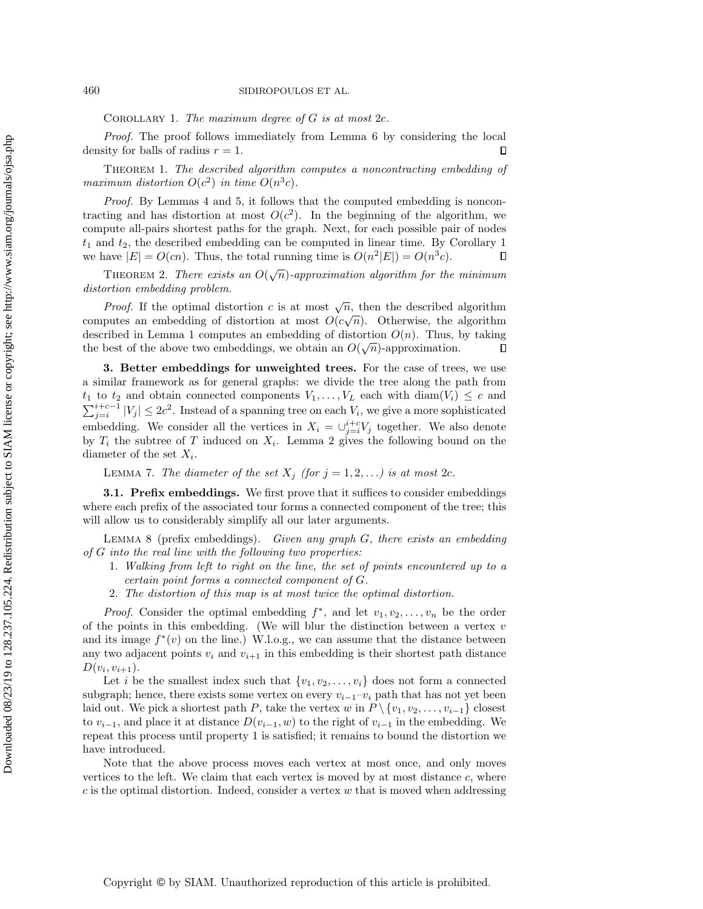<span id="page-6-1"></span>COROLLARY 1. The maximum degree of  $G$  is at most  $2c$ .

Proof. The proof follows immediately from Lemma [6](#page-5-0) by considering the local density for balls of radius  $r = 1$ .  $\Box$ 

Theorem 1. The described algorithm computes a noncontracting embedding of maximum distortion  $O(c^2)$  in time  $O(n^3c)$ .

Proof. By Lemmas [4](#page-4-3) and [5,](#page-5-1) it follows that the computed embedding is noncontracting and has distortion at most  $O(c^2)$ . In the beginning of the algorithm, we compute all-pairs shortest paths for the graph. Next, for each possible pair of nodes  $t_1$  and  $t_2$ , the described embedding can be computed in linear time. By Corollary [1](#page-6-1) we have  $|E| = O(cn)$ . Thus, the total running time is  $O(n^2|E|) = O(n^3c)$ .  $\Box$ 

THEOREM 2. There exists an  $O(\sqrt{n})$ -approximation algorithm for the minimum distortion embedding problem.

*Proof.* If the optimal distortion c is at most  $\sqrt{n}$ , then the described algorithm computes an embedding of distortion at most  $O(c\sqrt{n})$ . Otherwise, the algorithm described in Lemma [1](#page-3-1) computes an embedding of distortion  $O(n)$ . Thus, by taking the best of the above two embeddings, we obtain an  $O(\sqrt{n})$ -approximation.  $\Box$ 

<span id="page-6-0"></span>3. Better embeddings for unweighted trees. For the case of trees, we use a similar framework as for general graphs: we divide the tree along the path from  $t_1$  to  $t_2$  and obtain connected components  $V_1, \ldots, V_L$  each with  $\text{diam}(V_i) \leq c$  and  $\sum_{j=i}^{i+c-1} |V_j| \leq 2c^2$ . Instead of a spanning tree on each  $V_i$ , we give a more sophisticated embedding. We consider all the vertices in  $X_i = \bigcup_{j=i}^{i+c} V_j$  together. We also denote by  $T_i$  the subtree of T induced on  $X_i$ . Lemma [2](#page-4-2) gives the following bound on the diameter of the set  $X_i$ .

LEMMA 7. The diameter of the set  $X_j$  (for  $j = 1, 2, \ldots$ ) is at most 2c.

**3.1. Prefix embeddings.** We first prove that it suffices to consider embeddings where each prefix of the associated tour forms a connected component of the tree; this will allow us to considerably simplify all our later arguments.

<span id="page-6-2"></span>LEMMA 8 (prefix embeddings). Given any graph  $G$ , there exists an embedding of G into the real line with the following two properties:

- 1. Walking from left to right on the line, the set of points encountered up to a certain point forms a connected component of G.
- 2. The distortion of this map is at most twice the optimal distortion.

*Proof.* Consider the optimal embedding  $f^*$ , and let  $v_1, v_2, \ldots, v_n$  be the order of the points in this embedding. (We will blur the distinction between a vertex  $v$ and its image  $f^*(v)$  on the line.) W.l.o.g., we can assume that the distance between any two adjacent points  $v_i$  and  $v_{i+1}$  in this embedding is their shortest path distance  $D(v_i, v_{i+1}).$ 

Let i be the smallest index such that  $\{v_1, v_2, \ldots, v_i\}$  does not form a connected subgraph; hence, there exists some vertex on every  $v_{i-1}-v_i$  path that has not yet been laid out. We pick a shortest path P, take the vertex w in  $P \setminus \{v_1, v_2, \ldots, v_{i-1}\}\)$  closest to  $v_{i-1}$ , and place it at distance  $D(v_{i-1}, w)$  to the right of  $v_{i-1}$  in the embedding. We repeat this process until property 1 is satisfied; it remains to bound the distortion we have introduced.

Note that the above process moves each vertex at most once, and only moves vertices to the left. We claim that each vertex is moved by at most distance  $c$ , where  $c$  is the optimal distortion. Indeed, consider a vertex  $w$  that is moved when addressing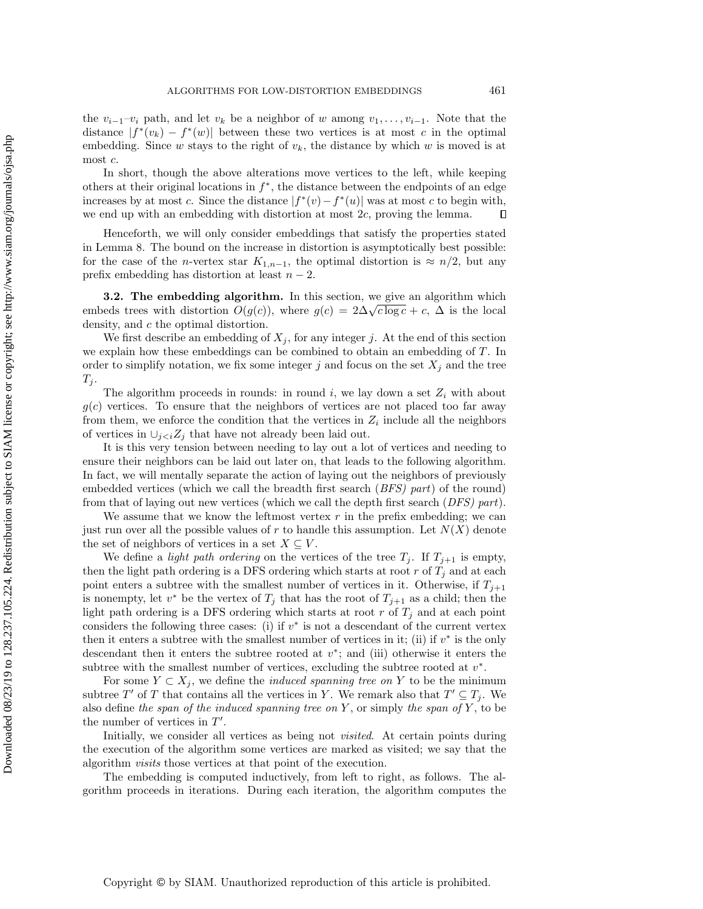the  $v_{i-1}-v_i$  path, and let  $v_k$  be a neighbor of w among  $v_1, \ldots, v_{i-1}$ . Note that the distance  $|f^*(v_k) - f^*(w)|$  between these two vertices is at most c in the optimal embedding. Since w stays to the right of  $v_k$ , the distance by which w is moved is at most c.

In short, though the above alterations move vertices to the left, while keeping others at their original locations in  $f^*$ , the distance between the endpoints of an edge increases by at most c. Since the distance  $|f^*(v) - f^*(u)|$  was at most c to begin with, we end up with an embedding with distortion at most 2c, proving the lemma.  $\Box$ 

Henceforth, we will only consider embeddings that satisfy the properties stated in Lemma [8.](#page-6-2) The bound on the increase in distortion is asymptotically best possible: for the case of the *n*-vertex star  $K_{1,n-1}$ , the optimal distortion is  $\approx n/2$ , but any prefix embedding has distortion at least  $n-2$ .

3.2. The embedding algorithm. In this section, we give an algorithm which **5.2.** The embedding algorithm. In this section, we give an algorithm which embeds trees with distortion  $O(g(c))$ , where  $g(c) = 2\Delta\sqrt{c \log c} + c$ ,  $\Delta$  is the local density, and c the optimal distortion.

We first describe an embedding of  $X_i$ , for any integer j. At the end of this section we explain how these embeddings can be combined to obtain an embedding of T. In order to simplify notation, we fix some integer j and focus on the set  $X_j$  and the tree  $T_j$ .

The algorithm proceeds in rounds: in round i, we lay down a set  $Z_i$  with about  $g(c)$  vertices. To ensure that the neighbors of vertices are not placed too far away from them, we enforce the condition that the vertices in  $Z_i$  include all the neighbors of vertices in  $\cup_{i\leq i}Z_i$  that have not already been laid out.

It is this very tension between needing to lay out a lot of vertices and needing to ensure their neighbors can be laid out later on, that leads to the following algorithm. In fact, we will mentally separate the action of laying out the neighbors of previously embedded vertices (which we call the breadth first search (BFS) part) of the round) from that of laying out new vertices (which we call the depth first search (DFS) part).

We assume that we know the leftmost vertex  $r$  in the prefix embedding; we can just run over all the possible values of r to handle this assumption. Let  $N(X)$  denote the set of neighbors of vertices in a set  $X \subseteq V$ .

We define a *light path ordering* on the vertices of the tree  $T_j$ . If  $T_{j+1}$  is empty, then the light path ordering is a DFS ordering which starts at root r of  $T_j$  and at each point enters a subtree with the smallest number of vertices in it. Otherwise, if  $T_{j+1}$ is nonempty, let  $v^*$  be the vertex of  $T_j$  that has the root of  $T_{j+1}$  as a child; then the light path ordering is a DFS ordering which starts at root  $r$  of  $T_i$  and at each point considers the following three cases: (i) if  $v^*$  is not a descendant of the current vertex then it enters a subtree with the smallest number of vertices in it; (ii) if  $v^*$  is the only descendant then it enters the subtree rooted at  $v^*$ ; and (iii) otherwise it enters the subtree with the smallest number of vertices, excluding the subtree rooted at  $v^*$ .

For some  $Y \subset X_j$ , we define the *induced spanning tree on* Y to be the minimum subtree T' of T that contains all the vertices in Y. We remark also that  $T' \subseteq T_j$ . We also define the span of the induced spanning tree on  $Y$ , or simply the span of  $Y$ , to be the number of vertices in  $T'$ .

Initially, we consider all vertices as being not *visited*. At certain points during the execution of the algorithm some vertices are marked as visited; we say that the algorithm visits those vertices at that point of the execution.

The embedding is computed inductively, from left to right, as follows. The algorithm proceeds in iterations. During each iteration, the algorithm computes the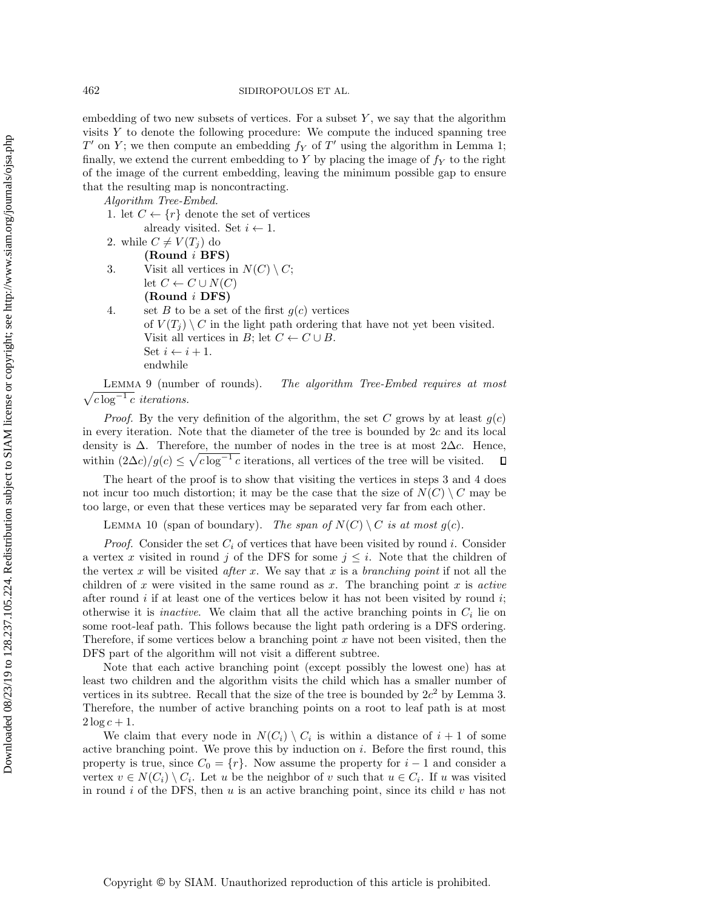embedding of two new subsets of vertices. For a subset  $Y$ , we say that the algorithm visits Y to denote the following procedure: We compute the induced spanning tree  $T'$  on Y; we then compute an embedding  $f_Y$  of  $T'$  using the algorithm in Lemma [1;](#page-3-1) finally, we extend the current embedding to Y by placing the image of  $f<sub>Y</sub>$  to the right of the image of the current embedding, leaving the minimum possible gap to ensure that the resulting map is noncontracting.

Algorithm Tree-Embed.

1. let  $C \leftarrow \{r\}$  denote the set of vertices

already visited. Set  $i \leftarrow 1$ .

2. while  $C \neq V(T_i)$  do

(Round i BFS)

3. Visit all vertices in  $N(C) \setminus C$ ; let  $C \leftarrow C \cup N(C)$ 

(Round i DFS)

4. set B to be a set of the first  $q(c)$  vertices of  $V(T_i) \setminus C$  in the light path ordering that have not yet been visited. Visit all vertices in B; let  $C \leftarrow C \cup B$ . Set  $i \leftarrow i + 1$ . endwhile

 $\sqrt{c \log^{-1} c}$  iterations. LEMMA 9 (number of rounds). The algorithm Tree-Embed requires at most

*Proof.* By the very definition of the algorithm, the set C grows by at least  $g(c)$ in every iteration. Note that the diameter of the tree is bounded by  $2c$  and its local density is  $\Delta$ . Therefore, the number of nodes in the tree is at most 2 $\Delta c$ . Hence, within  $(2\Delta c)/g(c) \leq \sqrt{c \log^{-1} c}$  iterations, all vertices of the tree will be visited.  $\Box$ 

The heart of the proof is to show that visiting the vertices in steps 3 and 4 does not incur too much distortion; it may be the case that the size of  $N(C) \setminus C$  may be too large, or even that these vertices may be separated very far from each other.

<span id="page-8-0"></span>LEMMA 10 (span of boundary). The span of  $N(C) \setminus C$  is at most  $g(c)$ .

*Proof.* Consider the set  $C_i$  of vertices that have been visited by round i. Consider a vertex x visited in round j of the DFS for some  $j \leq i$ . Note that the children of the vertex x will be visited after x. We say that x is a branching point if not all the children of x were visited in the same round as  $x$ . The branching point  $x$  is active after round  $i$  if at least one of the vertices below it has not been visited by round  $i$ ; otherwise it is *inactive*. We claim that all the active branching points in  $C_i$  lie on some root-leaf path. This follows because the light path ordering is a DFS ordering. Therefore, if some vertices below a branching point  $x$  have not been visited, then the DFS part of the algorithm will not visit a different subtree.

Note that each active branching point (except possibly the lowest one) has at least two children and the algorithm visits the child which has a smaller number of vertices in its subtree. Recall that the size of the tree is bounded by  $2c^2$  by Lemma [3.](#page-4-0) Therefore, the number of active branching points on a root to leaf path is at most  $2 \log c + 1$ .

We claim that every node in  $N(C_i) \setminus C_i$  is within a distance of  $i + 1$  of some active branching point. We prove this by induction on  $i$ . Before the first round, this property is true, since  $C_0 = \{r\}$ . Now assume the property for  $i-1$  and consider a vertex  $v \in N(C_i) \setminus C_i$ . Let u be the neighbor of v such that  $u \in C_i$ . If u was visited in round i of the DFS, then  $u$  is an active branching point, since its child  $v$  has not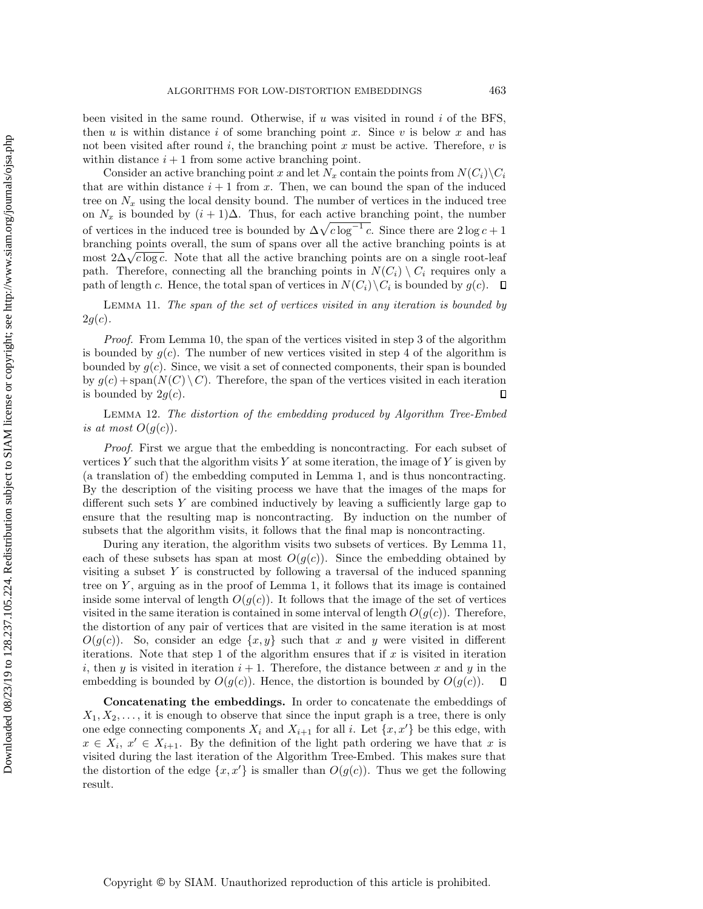been visited in the same round. Otherwise, if  $u$  was visited in round  $i$  of the BFS, then u is within distance i of some branching point x. Since v is below x and has not been visited after round  $i$ , the branching point x must be active. Therefore,  $v$  is within distance  $i + 1$  from some active branching point.

Consider an active branching point x and let  $N_x$  contain the points from  $N(C_i)\backslash C_i$ that are within distance  $i + 1$  from x. Then, we can bound the span of the induced tree on  $N_x$  using the local density bound. The number of vertices in the induced tree on  $N_x$  is bounded by  $(i + 1)\Delta$ . Thus, for each active branching point, the number of vertices in the induced tree is bounded by  $\Delta\sqrt{c \log^{-1} c}$ . Since there are  $2 \log c + 1$ branching points overall, the sum of spans over all the active branching points is at branching points overall, the sum of spans over all the active branching points is at most  $2\Delta\sqrt{c\log c}$ . Note that all the active branching points are on a single root-leaf path. Therefore, connecting all the branching points in  $N(C_i) \setminus C_i$  requires only a path of length c. Hence, the total span of vertices in  $N(C_i)\backslash C_i$  is bounded by  $g(c)$ .

<span id="page-9-0"></span>Lemma 11. The span of the set of vertices visited in any iteration is bounded by  $2g(c).$ 

Proof. From Lemma [10,](#page-8-0) the span of the vertices visited in step 3 of the algorithm is bounded by  $g(c)$ . The number of new vertices visited in step 4 of the algorithm is bounded by  $g(c)$ . Since, we visit a set of connected components, their span is bounded by  $g(c)$  + span( $N(C) \setminus C$ ). Therefore, the span of the vertices visited in each iteration is bounded by  $2g(c)$ .  $\Box$ 

Lemma 12. The distortion of the embedding produced by Algorithm Tree-Embed is at most  $O(g(c))$ .

Proof. First we argue that the embedding is noncontracting. For each subset of vertices Y such that the algorithm visits Y at some iteration, the image of Y is given by (a translation of) the embedding computed in Lemma [1,](#page-3-1) and is thus noncontracting. By the description of the visiting process we have that the images of the maps for different such sets  $Y$  are combined inductively by leaving a sufficiently large gap to ensure that the resulting map is noncontracting. By induction on the number of subsets that the algorithm visits, it follows that the final map is noncontracting.

During any iteration, the algorithm visits two subsets of vertices. By Lemma [11,](#page-9-0) each of these subsets has span at most  $O(g(c))$ . Since the embedding obtained by visiting a subset Y is constructed by following a traversal of the induced spanning tree on  $Y$ , arguing as in the proof of Lemma [1,](#page-3-1) it follows that its image is contained inside some interval of length  $O(g(c))$ . It follows that the image of the set of vertices visited in the same iteration is contained in some interval of length  $O(q(c))$ . Therefore, the distortion of any pair of vertices that are visited in the same iteration is at most  $O(g(c))$ . So, consider an edge  $\{x, y\}$  such that x and y were visited in different iterations. Note that step 1 of the algorithm ensures that if  $x$  is visited in iteration i, then y is visited in iteration  $i + 1$ . Therefore, the distance between x and y in the embedding is bounded by  $O(g(c))$ . Hence, the distortion is bounded by  $O(g(c))$ .  $\Box$ 

Concatenating the embeddings. In order to concatenate the embeddings of  $X_1, X_2, \ldots$ , it is enough to observe that since the input graph is a tree, there is only one edge connecting components  $X_i$  and  $X_{i+1}$  for all i. Let  $\{x, x'\}$  be this edge, with  $x \in X_i, x' \in X_{i+1}$ . By the definition of the light path ordering we have that x is visited during the last iteration of the Algorithm Tree-Embed. This makes sure that the distortion of the edge  $\{x, x'\}$  is smaller than  $O(g(c))$ . Thus we get the following result.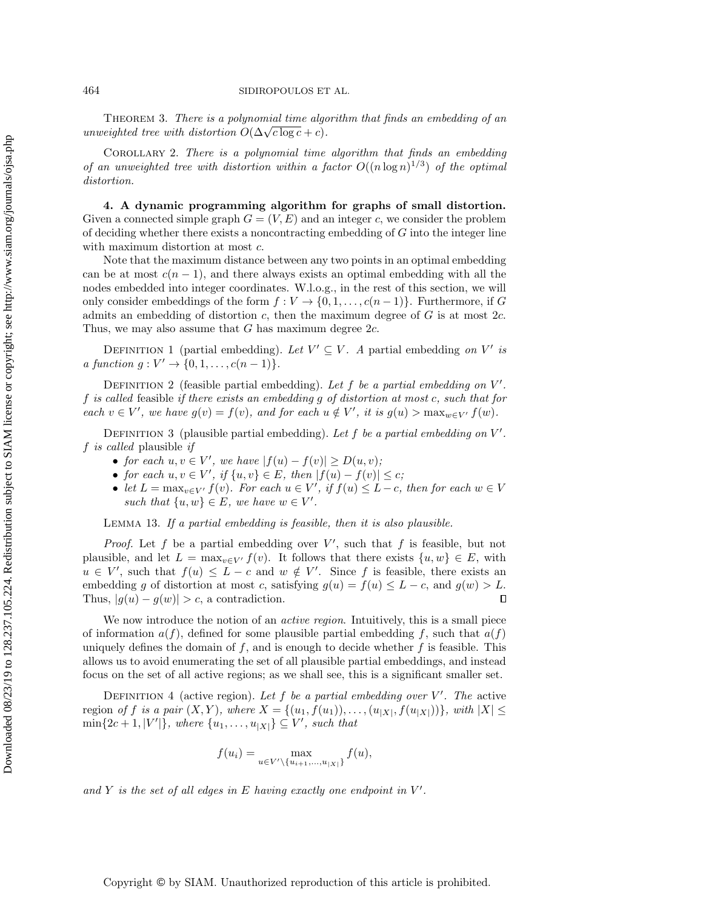THEOREM 3. There is a polynomial time algorithm that finds an embedding of an **THEOREM 3.** There is a polynomial time algorithm  $O(\Delta\sqrt{c \log c} + c)$ .

Corollary 2. There is a polynomial time algorithm that finds an embedding of an unweighted tree with distortion within a factor  $O((n \log n)^{1/3})$  of the optimal distortion.

<span id="page-10-0"></span>4. A dynamic programming algorithm for graphs of small distortion. Given a connected simple graph  $G = (V, E)$  and an integer c, we consider the problem of deciding whether there exists a noncontracting embedding of G into the integer line with maximum distortion at most c.

Note that the maximum distance between any two points in an optimal embedding can be at most  $c(n-1)$ , and there always exists an optimal embedding with all the nodes embedded into integer coordinates. W.l.o.g., in the rest of this section, we will only consider embeddings of the form  $f: V \to \{0, 1, \ldots, c(n-1)\}\)$ . Furthermore, if G admits an embedding of distortion  $c$ , then the maximum degree of  $G$  is at most 2c. Thus, we may also assume that  $G$  has maximum degree  $2c$ .

DEFINITION 1 (partial embedding). Let  $V' \subseteq V$ . A partial embedding on V' is *a function*  $g: V' \to \{0, 1, ..., c(n-1)\}.$ 

DEFINITION 2 (feasible partial embedding). Let  $f$  be a partial embedding on  $V'$ . f is called feasible if there exists an embedding g of distortion at most c, such that for each  $v \in V'$ , we have  $g(v) = f(v)$ , and for each  $u \notin V'$ , it is  $g(u) > \max_{w \in V'} f(w)$ .

DEFINITION 3 (plausible partial embedding). Let f be a partial embedding on  $V'$ . f is called plausible if

- for each  $u, v \in V'$ , we have  $|f(u) f(v)| \ge D(u, v)$ ;
- for each  $u, v \in V'$ , if  $\{u, v\} \in E$ , then  $|f(u) f(v)| \leq c$ ;
- let  $L = \max_{v \in V'} f(v)$ . For each  $u \in V'$ , if  $f(u) \leq L c$ , then for each  $w \in V$ such that  $\{u, w\} \in E$ , we have  $w \in V'$ .

<span id="page-10-1"></span>Lemma 13. If a partial embedding is feasible, then it is also plausible.

*Proof.* Let f be a partial embedding over  $V'$ , such that f is feasible, but not plausible, and let  $L = \max_{v \in V'} f(v)$ . It follows that there exists  $\{u, w\} \in E$ , with  $u \in V'$ , such that  $f(u) \leq L - c$  and  $w \notin V'$ . Since f is feasible, there exists an embedding g of distortion at most c, satisfying  $g(u) = f(u) \leq L - c$ , and  $g(w) > L$ . Thus,  $|g(u) - g(w)| > c$ , a contradiction.  $\Box$ 

We now introduce the notion of an *active region*. Intuitively, this is a small piece of information  $a(f)$ , defined for some plausible partial embedding f, such that  $a(f)$ uniquely defines the domain of  $f$ , and is enough to decide whether  $f$  is feasible. This allows us to avoid enumerating the set of all plausible partial embeddings, and instead focus on the set of all active regions; as we shall see, this is a significant smaller set.

DEFINITION 4 (active region). Let f be a partial embedding over  $V'$ . The active region of f is a pair  $(X, Y)$ , where  $X = \{(u_1, f(u_1)), \ldots, (u_{|X|}, f(u_{|X|}))\}$ , with  $|X| \le$  $\min\{2c+1, |V'|\}$ , where  $\{u_1, \ldots, u_{|X|}\} \subseteq V'$ , such that

$$
f(u_i) = \max_{u \in V' \setminus \{u_{i+1},...,u_{|X|}\}} f(u),
$$

and Y is the set of all edges in E having exactly one endpoint in  $V'$ .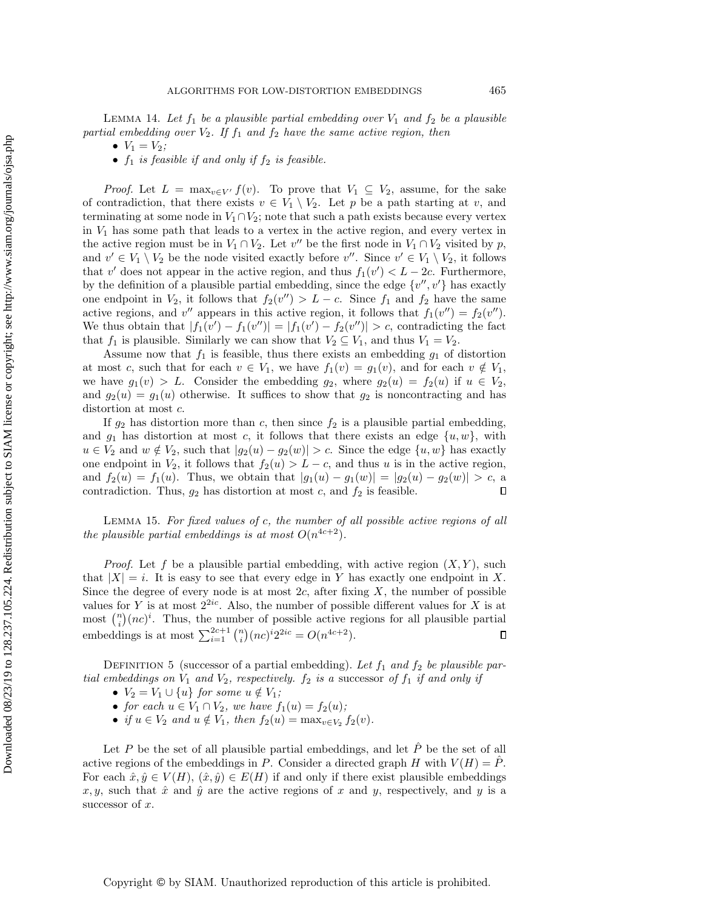<span id="page-11-0"></span>LEMMA 14. Let  $f_1$  be a plausible partial embedding over  $V_1$  and  $f_2$  be a plausible partial embedding over  $V_2$ . If  $f_1$  and  $f_2$  have the same active region, then

- $V_1 = V_2$ ;
- $f_1$  is feasible if and only if  $f_2$  is feasible.

*Proof.* Let  $L = \max_{v \in V'} f(v)$ . To prove that  $V_1 \subseteq V_2$ , assume, for the sake of contradiction, that there exists  $v \in V_1 \setminus V_2$ . Let p be a path starting at v, and terminating at some node in  $V_1 \cap V_2$ ; note that such a path exists because every vertex in  $V_1$  has some path that leads to a vertex in the active region, and every vertex in the active region must be in  $V_1 \cap V_2$ . Let v'' be the first node in  $V_1 \cap V_2$  visited by p, and  $v' \in V_1 \setminus V_2$  be the node visited exactly before  $v''$ . Since  $v' \in V_1 \setminus V_2$ , it follows that v' does not appear in the active region, and thus  $f_1(v') < L - 2c$ . Furthermore, by the definition of a plausible partial embedding, since the edge  $\{v'', v'\}$  has exactly one endpoint in  $V_2$ , it follows that  $f_2(v'') > L - c$ . Since  $f_1$  and  $f_2$  have the same active regions, and  $v''$  appears in this active region, it follows that  $f_1(v'') = f_2(v'')$ . We thus obtain that  $|f_1(v') - f_1(v'')| = |f_1(v') - f_2(v'')| > c$ , contradicting the fact that  $f_1$  is plausible. Similarly we can show that  $V_2 \subseteq V_1$ , and thus  $V_1 = V_2$ .

Assume now that  $f_1$  is feasible, thus there exists an embedding  $g_1$  of distortion at most c, such that for each  $v \in V_1$ , we have  $f_1(v) = g_1(v)$ , and for each  $v \notin V_1$ , we have  $g_1(v) > L$ . Consider the embedding  $g_2$ , where  $g_2(u) = f_2(u)$  if  $u \in V_2$ , and  $g_2(u) = g_1(u)$  otherwise. It suffices to show that  $g_2$  is noncontracting and has distortion at most c.

If  $g_2$  has distortion more than c, then since  $f_2$  is a plausible partial embedding, and  $g_1$  has distortion at most c, it follows that there exists an edge  $\{u, w\}$ , with  $u \in V_2$  and  $w \notin V_2$ , such that  $|g_2(u) - g_2(w)| > c$ . Since the edge  $\{u, w\}$  has exactly one endpoint in  $V_2$ , it follows that  $f_2(u) > L - c$ , and thus u is in the active region, and  $f_2(u) = f_1(u)$ . Thus, we obtain that  $|g_1(u) - g_1(w)| = |g_2(u) - g_2(w)| > c$ , a contradiction. Thus,  $g_2$  has distortion at most c, and  $f_2$  is feasible.  $\Box$ 

<span id="page-11-1"></span>Lemma 15. For fixed values of c, the number of all possible active regions of all the plausible partial embeddings is at most  $O(n^{4c+2})$ .

*Proof.* Let f be a plausible partial embedding, with active region  $(X, Y)$ , such that  $|X| = i$ . It is easy to see that every edge in Y has exactly one endpoint in X. Since the degree of every node is at most  $2c$ , after fixing X, the number of possible values for Y is at most  $2^{2ic}$ . Also, the number of possible different values for X is at most  $\binom{n}{i} (nc)^i$ . Thus, the number of possible active regions for all plausible partial embeddings is at most  $\sum_{i=1}^{2c+1} \binom{n}{i} (nc)^i 2^{2ic} = O(n^{4c+2}).$  $\Box$ 

DEFINITION 5 (successor of a partial embedding). Let  $f_1$  and  $f_2$  be plausible partial embeddings on  $V_1$  and  $V_2$ , respectively.  $f_2$  is a successor of  $f_1$  if and only if

- $V_2 = V_1 \cup \{u\}$  for some  $u \notin V_1$ ;
- for each  $u \in V_1 \cap V_2$ , we have  $f_1(u) = f_2(u)$ ;
- if  $u \in V_2$  and  $u \notin V_1$ , then  $f_2(u) = \max_{v \in V_2} f_2(v)$ .

Let P be the set of all plausible partial embeddings, and let  $\tilde{P}$  be the set of all active regions of the embeddings in P. Consider a directed graph H with  $V(H) = P$ . For each  $\hat{x}, \hat{y} \in V(H), (\hat{x}, \hat{y}) \in E(H)$  if and only if there exist plausible embeddings x, y, such that  $\hat{x}$  and  $\hat{y}$  are the active regions of x and y, respectively, and y is a successor of  $x$ .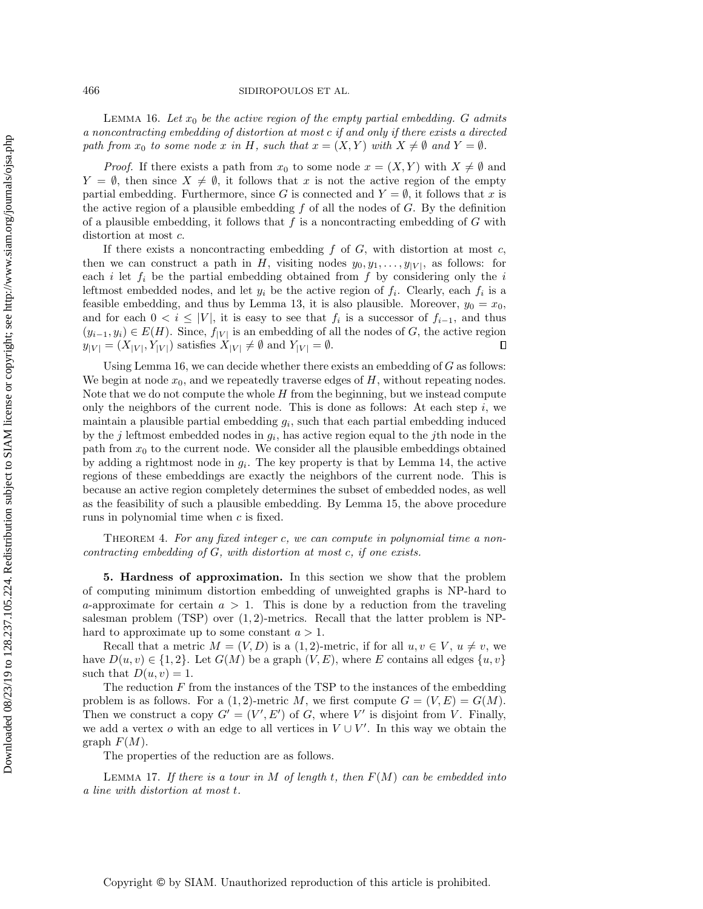<span id="page-12-1"></span>LEMMA 16. Let  $x_0$  be the active region of the empty partial embedding. G admits a noncontracting embedding of distortion at most c if and only if there exists a directed path from  $x_0$  to some node x in H, such that  $x = (X, Y)$  with  $X \neq \emptyset$  and  $Y = \emptyset$ .

*Proof.* If there exists a path from  $x_0$  to some node  $x = (X, Y)$  with  $X \neq \emptyset$  and  $Y = \emptyset$ , then since  $X \neq \emptyset$ , it follows that x is not the active region of the empty partial embedding. Furthermore, since G is connected and  $Y = \emptyset$ , it follows that x is the active region of a plausible embedding  $f$  of all the nodes of  $G$ . By the definition of a plausible embedding, it follows that  $f$  is a noncontracting embedding of  $G$  with distortion at most c.

If there exists a noncontracting embedding  $f$  of  $G$ , with distortion at most  $c$ , then we can construct a path in H, visiting nodes  $y_0, y_1, \ldots, y_{|V|}$ , as follows: for each  $i$  let  $f_i$  be the partial embedding obtained from  $f$  by considering only the  $i$ leftmost embedded nodes, and let  $y_i$  be the active region of  $f_i$ . Clearly, each  $f_i$  is a feasible embedding, and thus by Lemma [13,](#page-10-1) it is also plausible. Moreover,  $y_0 = x_0$ , and for each  $0 < i \leq |V|$ , it is easy to see that  $f_i$  is a successor of  $f_{i-1}$ , and thus  $(y_{i-1}, y_i) \in E(H)$ . Since,  $f_{|V|}$  is an embedding of all the nodes of G, the active region  $y_{|V|} = (X_{|V|}, Y_{|V|})$  satisfies  $X_{|V|} \neq \emptyset$  and  $Y_{|V|} = \emptyset$ .  $\Box$ 

Using Lemma [16,](#page-12-1) we can decide whether there exists an embedding of  $G$  as follows: We begin at node  $x_0$ , and we repeatedly traverse edges of  $H$ , without repeating nodes. Note that we do not compute the whole  $H$  from the beginning, but we instead compute only the neighbors of the current node. This is done as follows: At each step  $i$ , we maintain a plausible partial embedding  $g_i$ , such that each partial embedding induced by the j leftmost embedded nodes in  $g_i$ , has active region equal to the jth node in the path from  $x_0$  to the current node. We consider all the plausible embeddings obtained by adding a rightmost node in  $g_i$ . The key property is that by Lemma [14,](#page-11-0) the active regions of these embeddings are exactly the neighbors of the current node. This is because an active region completely determines the subset of embedded nodes, as well as the feasibility of such a plausible embedding. By Lemma [15,](#page-11-1) the above procedure runs in polynomial time when c is fixed.

THEOREM 4. For any fixed integer c, we can compute in polynomial time a noncontracting embedding of G, with distortion at most c, if one exists.

<span id="page-12-0"></span>5. Hardness of approximation. In this section we show that the problem of computing minimum distortion embedding of unweighted graphs is NP-hard to a-approximate for certain  $a > 1$ . This is done by a reduction from the traveling salesman problem (TSP) over  $(1, 2)$ -metrics. Recall that the latter problem is NPhard to approximate up to some constant  $a > 1$ .

Recall that a metric  $M = (V, D)$  is a  $(1, 2)$ -metric, if for all  $u, v \in V$ ,  $u \neq v$ , we have  $D(u, v) \in \{1, 2\}$ . Let  $G(M)$  be a graph  $(V, E)$ , where E contains all edges  $\{u, v\}$ such that  $D(u, v) = 1$ .

The reduction  $F$  from the instances of the TSP to the instances of the embedding problem is as follows. For a  $(1, 2)$ -metric M, we first compute  $G = (V, E) = G(M)$ . Then we construct a copy  $G' = (V', E')$  of G, where V' is disjoint from V. Finally, we add a vertex o with an edge to all vertices in  $V \cup V'$ . In this way we obtain the graph  $F(M)$ .

The properties of the reduction are as follows.

LEMMA 17. If there is a tour in M of length t, then  $F(M)$  can be embedded into a line with distortion at most t.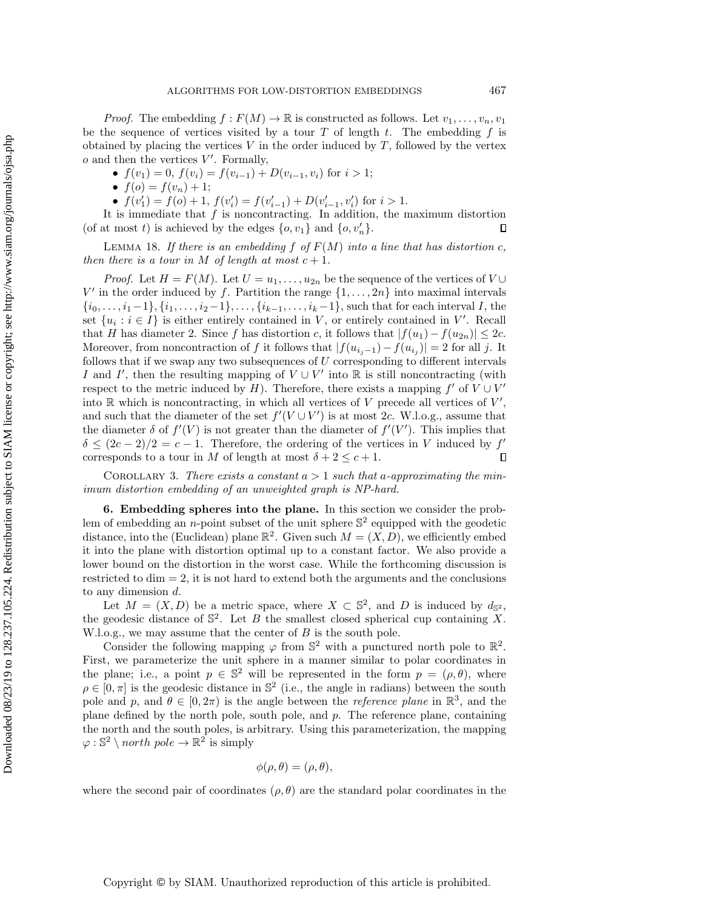*Proof.* The embedding  $f : F(M) \to \mathbb{R}$  is constructed as follows. Let  $v_1, \ldots, v_n, v_1$ be the sequence of vertices visited by a tour  $T$  of length  $t$ . The embedding  $f$  is obtained by placing the vertices  $V$  in the order induced by  $T$ , followed by the vertex  $o$  and then the vertices  $V'$ . Formally,

•  $f(v_1) = 0$ ,  $f(v_i) = f(v_{i-1}) + D(v_{i-1}, v_i)$  for  $i > 1$ ;

•  $f(o) = f(v_n) + 1;$ 

•  $f(v'_1) = f(o) + 1$ ,  $f(v'_i) = f(v'_{i-1}) + D(v'_{i-1}, v'_i)$  for  $i > 1$ .

It is immediate that  $f$  is noncontracting. In addition, the maximum distortion (of at most t) is achieved by the edges  $\{o, v_1\}$  and  $\{o, v'_n\}$ .  $\Box$ 

LEMMA 18. If there is an embedding  $f$  of  $F(M)$  into a line that has distortion c, then there is a tour in M of length at most  $c + 1$ .

*Proof.* Let  $H = F(M)$ . Let  $U = u_1, \ldots, u_{2n}$  be the sequence of the vertices of  $V \cup$ V' in the order induced by f. Partition the range  $\{1, \ldots, 2n\}$  into maximal intervals  $\{i_0, \ldots, i_1-1\}, \{i_1, \ldots, i_2-1\}, \ldots, \{i_{k-1}, \ldots, i_k-1\},$  such that for each interval I, the set  $\{u_i : i \in I\}$  is either entirely contained in V, or entirely contained in V'. Recall that H has diameter 2. Since f has distortion c, it follows that  $|f(u_1) - f(u_{2n})| \leq 2c$ . Moreover, from noncontraction of f it follows that  $|f(u_{i_j-1})-f(u_{i_j})|=2$  for all j. It follows that if we swap any two subsequences of  $U$  corresponding to different intervals I and I', then the resulting mapping of  $V \cup V'$  into R is still noncontracting (with respect to the metric induced by H). Therefore, there exists a mapping  $f'$  of  $V \cup V'$ into  $\mathbb R$  which is noncontracting, in which all vertices of V precede all vertices of  $V'$ , and such that the diameter of the set  $f'(V \cup V')$  is at most 2c. W.l.o.g., assume that the diameter  $\delta$  of  $f'(V)$  is not greater than the diameter of  $f'(V')$ . This implies that  $\delta \leq (2c-2)/2 = c-1$ . Therefore, the ordering of the vertices in V induced by f'  $\Box$ corresponds to a tour in M of length at most  $\delta + 2 \leq c + 1$ .

COROLLARY 3. There exists a constant  $a > 1$  such that a-approximating the minimum distortion embedding of an unweighted graph is NP-hard.

<span id="page-13-0"></span>6. Embedding spheres into the plane. In this section we consider the problem of embedding an *n*-point subset of the unit sphere  $\mathbb{S}^2$  equipped with the geodetic distance, into the (Euclidean) plane  $\mathbb{R}^2$ . Given such  $M = (X, D)$ , we efficiently embed it into the plane with distortion optimal up to a constant factor. We also provide a lower bound on the distortion in the worst case. While the forthcoming discussion is restricted to dim  $= 2$ , it is not hard to extend both the arguments and the conclusions to any dimension d.

Let  $M = (X, D)$  be a metric space, where  $X \subset \mathbb{S}^2$ , and D is induced by  $d_{\mathbb{S}^2}$ , the geodesic distance of  $\mathbb{S}^2$ . Let B the smallest closed spherical cup containing X. W.l.o.g., we may assume that the center of  $B$  is the south pole.

Consider the following mapping  $\varphi$  from  $\mathbb{S}^2$  with a punctured north pole to  $\mathbb{R}^2$ . First, we parameterize the unit sphere in a manner similar to polar coordinates in the plane; i.e., a point  $p \in \mathbb{S}^2$  will be represented in the form  $p = (\rho, \theta)$ , where  $\rho \in [0, \pi]$  is the geodesic distance in  $\mathbb{S}^2$  (i.e., the angle in radians) between the south pole and p, and  $\theta \in [0, 2\pi)$  is the angle between the *reference plane* in  $\mathbb{R}^3$ , and the plane defined by the north pole, south pole, and p. The reference plane, containing the north and the south poles, is arbitrary. Using this parameterization, the mapping  $\varphi : \mathbb{S}^2 \setminus north \ pole \rightarrow \mathbb{R}^2$  is simply

$$
\phi(\rho,\theta)=(\rho,\theta),
$$

where the second pair of coordinates  $(\rho, \theta)$  are the standard polar coordinates in the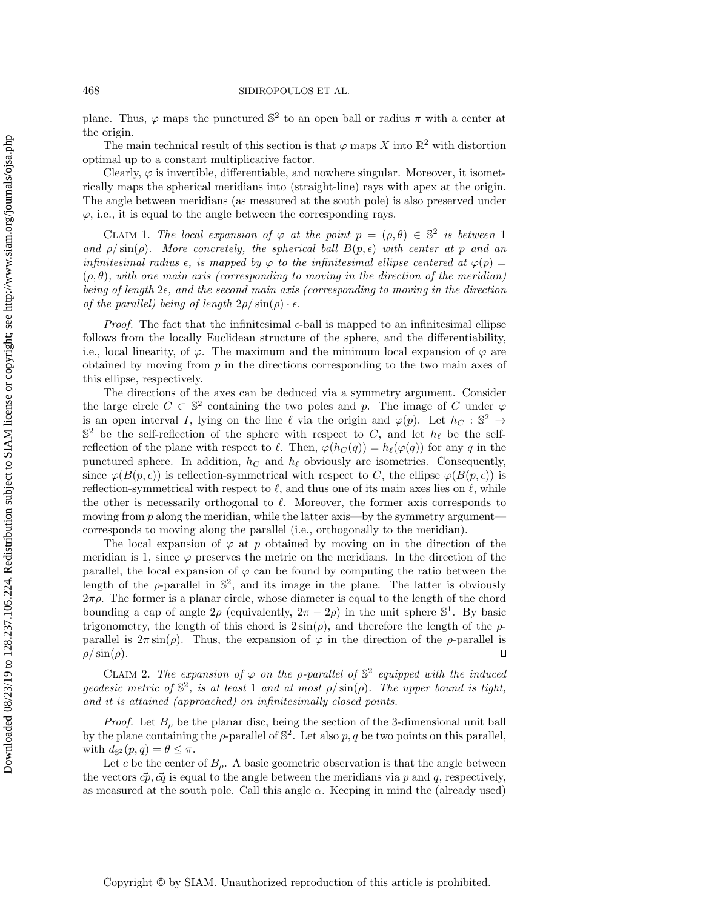## 468 SIDIROPOULOS ET AL.

plane. Thus,  $\varphi$  maps the punctured  $\mathbb{S}^2$  to an open ball or radius  $\pi$  with a center at the origin.

The main technical result of this section is that  $\varphi$  maps X into  $\mathbb{R}^2$  with distortion optimal up to a constant multiplicative factor.

Clearly,  $\varphi$  is invertible, differentiable, and nowhere singular. Moreover, it isometrically maps the spherical meridians into (straight-line) rays with apex at the origin. The angle between meridians (as measured at the south pole) is also preserved under  $\varphi$ , i.e., it is equal to the angle between the corresponding rays.

<span id="page-14-0"></span>CLAIM 1. The local expansion of  $\varphi$  at the point  $p = (\rho, \theta) \in \mathbb{S}^2$  is between 1 and  $\rho / \sin(\rho)$ . More concretely, the spherical ball  $B(p, \epsilon)$  with center at p and an infinitesimal radius  $\epsilon$ , is mapped by  $\varphi$  to the infinitesimal ellipse centered at  $\varphi(p)$  =  $(\rho, \theta)$ , with one main axis (corresponding to moving in the direction of the meridian) being of length  $2\epsilon$ , and the second main axis (corresponding to moving in the direction of the parallel) being of length  $2\rho/\sin(\rho) \cdot \epsilon$ .

*Proof.* The fact that the infinitesimal  $\epsilon$ -ball is mapped to an infinitesimal ellipse follows from the locally Euclidean structure of the sphere, and the differentiability, i.e., local linearity, of  $\varphi$ . The maximum and the minimum local expansion of  $\varphi$  are obtained by moving from  $p$  in the directions corresponding to the two main axes of this ellipse, respectively.

The directions of the axes can be deduced via a symmetry argument. Consider the large circle  $C \subset \mathbb{S}^2$  containing the two poles and p. The image of C under  $\varphi$ is an open interval I, lying on the line  $\ell$  via the origin and  $\varphi(p)$ . Let  $h_C : \mathbb{S}^2 \to$  $\mathbb{S}^2$  be the self-reflection of the sphere with respect to C, and let  $h_\ell$  be the selfreflection of the plane with respect to  $\ell$ . Then,  $\varphi(h_C(q)) = h_{\ell}(\varphi(q))$  for any q in the punctured sphere. In addition,  $h<sub>C</sub>$  and  $h<sub>\ell</sub>$  obviously are isometries. Consequently, since  $\varphi(B(p,\epsilon))$  is reflection-symmetrical with respect to C, the ellipse  $\varphi(B(p,\epsilon))$  is reflection-symmetrical with respect to  $\ell$ , and thus one of its main axes lies on  $\ell$ , while the other is necessarily orthogonal to  $\ell$ . Moreover, the former axis corresponds to moving from  $p$  along the meridian, while the latter axis—by the symmetry argument corresponds to moving along the parallel (i.e., orthogonally to the meridian).

The local expansion of  $\varphi$  at p obtained by moving on in the direction of the meridian is 1, since  $\varphi$  preserves the metric on the meridians. In the direction of the parallel, the local expansion of  $\varphi$  can be found by computing the ratio between the length of the  $\rho$ -parallel in  $\mathbb{S}^2$ , and its image in the plane. The latter is obviously  $2\pi\rho$ . The former is a planar circle, whose diameter is equal to the length of the chord bounding a cap of angle  $2\rho$  (equivalently,  $2\pi - 2\rho$ ) in the unit sphere  $\mathbb{S}^1$ . By basic trigonometry, the length of this chord is  $2\sin(\rho)$ , and therefore the length of the  $\rho$ parallel is  $2\pi \sin(\rho)$ . Thus, the expansion of  $\varphi$  in the direction of the *ρ*-parallel is  $\rho/\sin(\rho)$ .  $\Box$ 

<span id="page-14-1"></span>CLAIM 2. The expansion of  $\varphi$  on the p-parallel of  $\mathbb{S}^2$  equipped with the induced geodesic metric of  $\mathbb{S}^2$ , is at least 1 and at most  $\rho / \sin(\rho)$ . The upper bound is tight, and it is attained (approached) on infinitesimally closed points.

*Proof.* Let  $B_\rho$  be the planar disc, being the section of the 3-dimensional unit ball by the plane containing the  $\rho$ -parallel of  $\mathbb{S}^2$ . Let also p, q be two points on this parallel, with  $d_{\mathbb{S}^2}(p,q) = \theta \leq \pi$ .

Let c be the center of  $B_{\rho}$ . A basic geometric observation is that the angle between the vectors  $\vec{cp}, \vec{cq}$  is equal to the angle between the meridians via p and q, respectively, as measured at the south pole. Call this angle  $\alpha$ . Keeping in mind the (already used)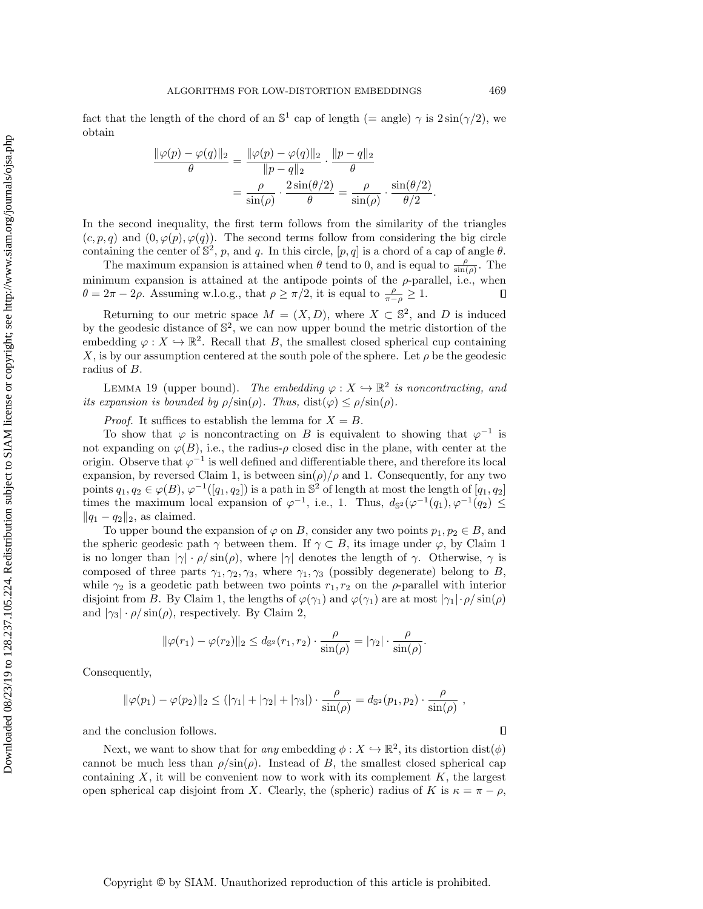fact that the length of the chord of an  $\mathbb{S}^1$  cap of length (= angle)  $\gamma$  is  $2\sin(\gamma/2)$ , we obtain

$$
\frac{\|\varphi(p) - \varphi(q)\|_2}{\theta} = \frac{\|\varphi(p) - \varphi(q)\|_2}{\|p - q\|_2} \cdot \frac{\|p - q\|_2}{\theta}
$$

$$
= \frac{\rho}{\sin(\rho)} \cdot \frac{2\sin(\theta/2)}{\theta} = \frac{\rho}{\sin(\rho)} \cdot \frac{\sin(\theta/2)}{\theta/2}.
$$

In the second inequality, the first term follows from the similarity of the triangles  $(c, p, q)$  and  $(0, \varphi(p), \varphi(q))$ . The second terms follow from considering the big circle containing the center of  $\mathbb{S}^2$ , p, and q. In this circle,  $[p, q]$  is a chord of a cap of angle  $\theta$ .

The maximum expansion is attained when  $\theta$  tend to 0, and is equal to  $\frac{\rho}{\sin(\rho)}$ . The minimum expansion is attained at the antipode points of the  $\rho$ -parallel, i.e., when  $\theta = 2\pi - 2\rho$ . Assuming w.l.o.g., that  $\rho \ge \pi/2$ , it is equal to  $\frac{\rho}{\pi - \rho} \ge 1$ .  $\Box$ 

Returning to our metric space  $M = (X, D)$ , where  $X \subset \mathbb{S}^2$ , and D is induced by the geodesic distance of  $\mathbb{S}^2$ , we can now upper bound the metric distortion of the embedding  $\varphi: X \hookrightarrow \mathbb{R}^2$ . Recall that B, the smallest closed spherical cup containing X, is by our assumption centered at the south pole of the sphere. Let  $\rho$  be the geodesic radius of B.

<span id="page-15-0"></span>LEMMA 19 (upper bound). The embedding  $\varphi: X \hookrightarrow \mathbb{R}^2$  is noncontracting, and its expansion is bounded by  $\rho/\sin(\rho)$ . Thus,  $dist(\varphi) \leq \rho/\sin(\rho)$ .

*Proof.* It suffices to establish the lemma for  $X = B$ .

To show that  $\varphi$  is noncontracting on B is equivalent to showing that  $\varphi^{-1}$  is not expanding on  $\varphi(B)$ , i.e., the radius- $\rho$  closed disc in the plane, with center at the origin. Observe that  $\varphi^{-1}$  is well defined and differentiable there, and therefore its local expansion, by reversed Claim [1,](#page-14-0) is between  $\sin(\rho)/\rho$  and 1. Consequently, for any two points  $q_1, q_2 \in \varphi(B), \varphi^{-1}([q_1, q_2])$  is a path in  $\mathbb{S}^2$  of length at most the length of  $[q_1, q_2]$ times the maximum local expansion of  $\varphi^{-1}$ , i.e., 1. Thus,  $d_{\mathbb{S}^2}(\varphi^{-1}(q_1), \varphi^{-1}(q_2) \leq$  $||q_1 - q_2||_2$ , as claimed.

To upper bound the expansion of  $\varphi$  on B, consider any two points  $p_1, p_2 \in B$ , and the spheric geodesic path  $\gamma$  between them. If  $\gamma \subset B$ , its image under  $\varphi$ , by Claim [1](#page-14-0) is no longer than  $|\gamma| \cdot \rho / \sin(\rho)$ , where  $|\gamma|$  denotes the length of  $\gamma$ . Otherwise,  $\gamma$  is composed of three parts  $\gamma_1, \gamma_2, \gamma_3$ , where  $\gamma_1, \gamma_3$  (possibly degenerate) belong to B, while  $\gamma_2$  is a geodetic path between two points  $r_1, r_2$  on the  $\rho$ -parallel with interior disjoint from B. By Claim [1,](#page-14-0) the lengths of  $\varphi(\gamma_1)$  and  $\varphi(\gamma_1)$  are at most  $|\gamma_1| \cdot \rho / \sin(\rho)$ and  $|\gamma_3| \cdot \rho / \sin(\rho)$ , respectively. By Claim [2,](#page-14-1)

$$
\|\varphi(r_1)-\varphi(r_2)\|_2 \leq d_{\mathbb{S}^2}(r_1,r_2) \cdot \frac{\rho}{\sin(\rho)} = |\gamma_2| \cdot \frac{\rho}{\sin(\rho)}.
$$

Consequently,

$$
\|\varphi(p_1) - \varphi(p_2)\|_2 \leq (|\gamma_1| + |\gamma_2| + |\gamma_3|) \cdot \frac{\rho}{\sin(\rho)} = d_{\mathbb{S}^2}(p_1, p_2) \cdot \frac{\rho}{\sin(\rho)},
$$

and the conclusion follows.

Next, we want to show that for any embedding  $\phi: X \hookrightarrow \mathbb{R}^2$ , its distortion  $dist(\phi)$ cannot be much less than  $\rho/\sin(\rho)$ . Instead of B, the smallest closed spherical cap containing  $X$ , it will be convenient now to work with its complement  $K$ , the largest open spherical cap disjoint from X. Clearly, the (spheric) radius of K is  $\kappa = \pi - \rho$ ,

 $\Box$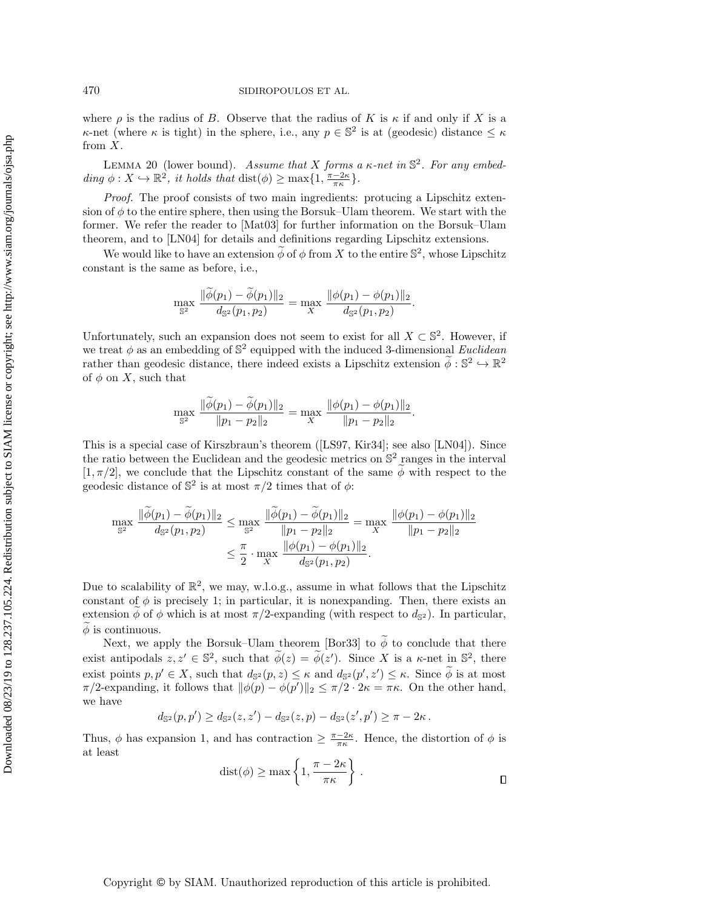where  $\rho$  is the radius of B. Observe that the radius of K is  $\kappa$  if and only if X is a  $\kappa$ -net (where  $\kappa$  is tight) in the sphere, i.e., any  $p \in \mathbb{S}^2$  is at (geodesic) distance  $\leq \kappa$ from  $X$ .

<span id="page-16-0"></span>LEMMA 20 (lower bound). Assume that X forms a  $\kappa$ -net in  $\mathbb{S}^2$ . For any embedding  $\phi: X \hookrightarrow \mathbb{R}^2$ , it holds that  $dist(\phi) \ge \max\{1, \frac{\pi - 2\kappa}{\pi \kappa}\}.$ 

Proof. The proof consists of two main ingredients: protucing a Lipschitz extension of  $\phi$  to the entire sphere, then using the Borsuk–Ulam theorem. We start with the former. We refer the reader to [\[Mat03\]](#page-19-18) for further information on the Borsuk–Ulam theorem, and to [\[LN04\]](#page-19-19) for details and definitions regarding Lipschitz extensions.

We would like to have an extension  $\widetilde{\phi}$  of  $\phi$  from X to the entire  $\mathbb{S}^2$ , whose Lipschitz constant is the same as before, i.e.,

$$
\max_{\mathbb{S}^2} \frac{\|\phi(p_1) - \phi(p_1)\|_2}{d_{\mathbb{S}^2}(p_1, p_2)} = \max_{X} \frac{\|\phi(p_1) - \phi(p_1)\|_2}{d_{\mathbb{S}^2}(p_1, p_2)}
$$

.

Unfortunately, such an expansion does not seem to exist for all  $X \subset \mathbb{S}^2$ . However, if we treat  $\phi$  as an embedding of  $\mathbb{S}^2$  equipped with the induced 3-dimensional Euclidean rather than geodesic distance, there indeed exists a Lipschitz extension  $\tilde{\phi}: \mathbb{S}^2 \hookrightarrow \mathbb{R}^2$ of  $\phi$  on X, such that

$$
\max_{\mathbb{S}^2} \frac{\|\phi(p_1) - \phi(p_1)\|_2}{\|p_1 - p_2\|_2} = \max_{X} \frac{\|\phi(p_1) - \phi(p_1)\|_2}{\|p_1 - p_2\|_2}.
$$

This is a special case of Kirszbraun's theorem ([\[LS97,](#page-19-20) [Kir34\]](#page-19-21); see also [\[LN04\]](#page-19-19)). Since the ratio between the Euclidean and the geodesic metrics on  $\mathbb{S}^2$  ranges in the interval  $[1, \pi/2]$ , we conclude that the Lipschitz constant of the same  $\phi$  with respect to the geodesic distance of  $\mathbb{S}^2$  is at most  $\pi/2$  times that of  $\phi$ :

$$
\max_{\mathbb{S}^2} \frac{\|\widetilde{\phi}(p_1) - \widetilde{\phi}(p_1)\|_2}{d_{\mathbb{S}^2}(p_1, p_2)} \le \max_{\mathbb{S}^2} \frac{\|\widetilde{\phi}(p_1) - \widetilde{\phi}(p_1)\|_2}{\|p_1 - p_2\|_2} = \max_{X} \frac{\|\phi(p_1) - \phi(p_1)\|_2}{\|p_1 - p_2\|_2}
$$

$$
\le \frac{\pi}{2} \cdot \max_{X} \frac{\|\phi(p_1) - \phi(p_1)\|_2}{d_{\mathbb{S}^2}(p_1, p_2)}.
$$

Due to scalability of  $\mathbb{R}^2$ , we may, w.l.o.g., assume in what follows that the Lipschitz constant of  $\phi$  is precisely 1; in particular, it is nonexpanding. Then, there exists an extension  $\phi$  of  $\phi$  which is at most  $\pi/2$ -expanding (with respect to  $d_{\mathbb{S}^2}$ ). In particular,  $\phi$  is continuous.

Next, we apply the Borsuk–Ulam theorem [\[Bor33\]](#page-18-0) to  $\widetilde{\phi}$  to conclude that there exist antipodals  $z, z' \in \mathbb{S}^2$ , such that  $\widetilde{\phi}(z) = \widetilde{\phi}(z')$ . Since X is a  $\kappa$ -net in  $\mathbb{S}^2$ , there exist points  $p, p' \in X$ , such that  $d_{\mathbb{S}^2}(p, z) \leq \kappa$  and  $d_{\mathbb{S}^2}(p', z') \leq \kappa$ . Since  $\phi$  is at most  $\pi/2$ -expanding, it follows that  $\|\phi(p) - \phi(p')\|_2 \leq \pi/2 \cdot 2\kappa = \pi \kappa$ . On the other hand, we have

$$
d_{\mathbb{S}^2}(p,p') \geq d_{\mathbb{S}^2}(z,z') - d_{\mathbb{S}^2}(z,p) - d_{\mathbb{S}^2}(z',p') \geq \pi - 2\kappa.
$$

<span id="page-16-1"></span>Thus,  $\phi$  has expansion 1, and has contraction  $\geq \frac{\pi - 2\kappa}{\pi \kappa}$ . Hence, the distortion of  $\phi$  is at least

$$
dist(\phi) \ge \max\left\{1, \frac{\pi - 2\kappa}{\pi \kappa}\right\}.
$$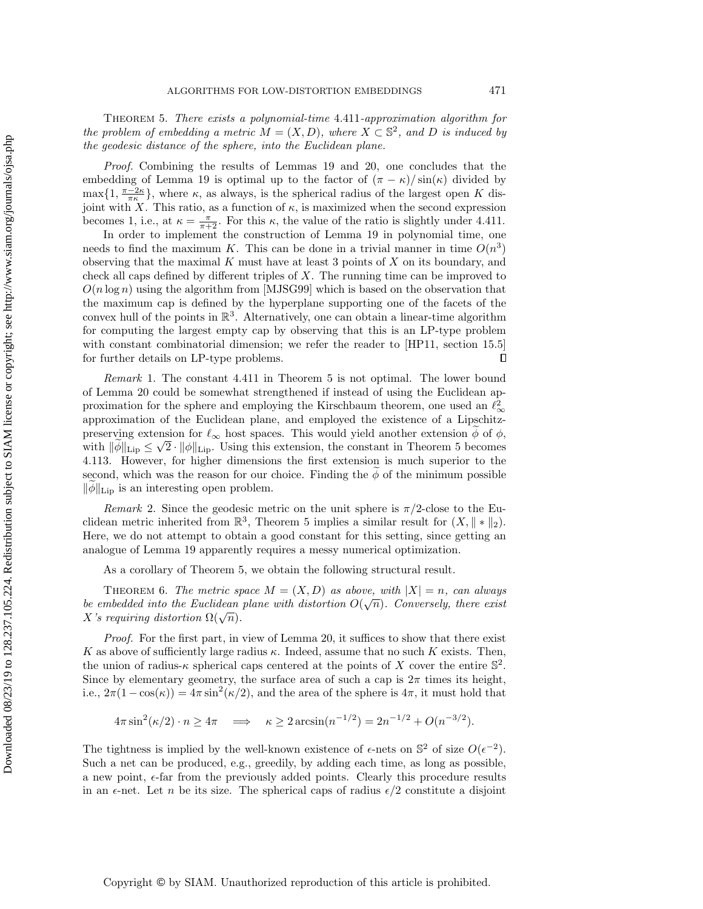Theorem 5. There exists a polynomial-time 4.411-approximation algorithm for the problem of embedding a metric  $\tilde{M} = (X, D)$ , where  $\tilde{X} \subset \mathbb{S}^2$ , and D is induced by the geodesic distance of the sphere, into the Euclidean plane.

Proof. Combining the results of Lemmas [19](#page-15-0) and [20,](#page-16-0) one concludes that the embedding of Lemma [19](#page-15-0) is optimal up to the factor of  $(\pi - \kappa)/\sin(\kappa)$  divided by  $\max\{1, \frac{\pi-2\kappa}{\pi\kappa}\}\,$ , where  $\kappa$ , as always, is the spherical radius of the largest open K disjoint with X. This ratio, as a function of  $\kappa$ , is maximized when the second expression becomes 1, i.e., at  $\kappa = \frac{\pi}{\pi + 2}$ . For this  $\kappa$ , the value of the ratio is slightly under 4.411.

In order to implement the construction of Lemma [19](#page-15-0) in polynomial time, one needs to find the maximum K. This can be done in a trivial manner in time  $O(n^3)$ observing that the maximal  $K$  must have at least 3 points of  $X$  on its boundary, and check all caps defined by different triples of  $X$ . The running time can be improved to  $O(n \log n)$  using the algorithm from [\[MJSG99\]](#page-19-22) which is based on the observation that the maximum cap is defined by the hyperplane supporting one of the facets of the convex hull of the points in  $\mathbb{R}^3$ . Alternatively, one can obtain a linear-time algorithm for computing the largest empty cap by observing that this is an LP-type problem with constant combinatorial dimension; we refer the reader to [\[HP11,](#page-19-23) section 15.5] for further details on LP-type problems.  $\Box$ 

Remark 1. The constant 4.411 in Theorem [5](#page-16-1) is not optimal. The lower bound of Lemma [20](#page-16-0) could be somewhat strengthened if instead of using the Euclidean approximation for the sphere and employing the Kirschbaum theorem, one used an  $\ell_{\infty}^2$ approximation of the Euclidean plane, and employed the existence of a Lipschitzpreserving extension for  $\ell_{\infty}$  host spaces. This would yield another extension  $\phi$  of  $\phi$ , with  $\|\phi\|_{\text{Lip}} \leq \sqrt{2} \cdot \|\phi\|_{\text{Lip}}$ . Using this extension, the constant in Theorem [5](#page-16-1) becomes 4.113. However, for higher dimensions the first extension is much superior to the second, which was the reason for our choice. Finding the  $\phi$  of the minimum possible  $\|\phi\|_{\text{Lip}}$  is an interesting open problem.

*Remark* 2. Since the geodesic metric on the unit sphere is  $\pi/2$ -close to the Euclidean metric inherited from  $\mathbb{R}^3$ , Theorem [5](#page-16-1) implies a similar result for  $(X, \| * \|_2)$ . Here, we do not attempt to obtain a good constant for this setting, since getting an analogue of Lemma [19](#page-15-0) apparently requires a messy numerical optimization.

As a corollary of Theorem [5,](#page-16-1) we obtain the following structural result.

THEOREM 6. The metric space  $M = (X, D)$  as above, with  $|X| = n$ , can always be embedded into the Euclidean plane with distortion  $O(\sqrt{n})$ . Conversely, there exist *ue embedded thro the Euchdean*<br>X's requiring distortion  $\Omega(\sqrt{n})$ .

Proof. For the first part, in view of Lemma [20,](#page-16-0) it suffices to show that there exist K as above of sufficiently large radius  $\kappa$ . Indeed, assume that no such K exists. Then, the union of radius- $\kappa$  spherical caps centered at the points of X cover the entire  $\mathbb{S}^2$ . Since by elementary geometry, the surface area of such a cap is  $2\pi$  times its height, i.e.,  $2\pi(1-\cos(\kappa)) = 4\pi \sin^2(\kappa/2)$ , and the area of the sphere is  $4\pi$ , it must hold that

$$
4\pi \sin^2(\kappa/2) \cdot n \ge 4\pi \implies \kappa \ge 2\arcsin(n^{-1/2}) = 2n^{-1/2} + O(n^{-3/2}).
$$

The tightness is implied by the well-known existence of  $\epsilon$ -nets on  $\mathbb{S}^2$  of size  $O(\epsilon^{-2})$ . Such a net can be produced, e.g., greedily, by adding each time, as long as possible, a new point,  $\epsilon$ -far from the previously added points. Clearly this procedure results in an  $\epsilon$ -net. Let n be its size. The spherical caps of radius  $\epsilon/2$  constitute a disjoint

Copyright © by SIAM. Unauthorized reproduction of this article is prohibited.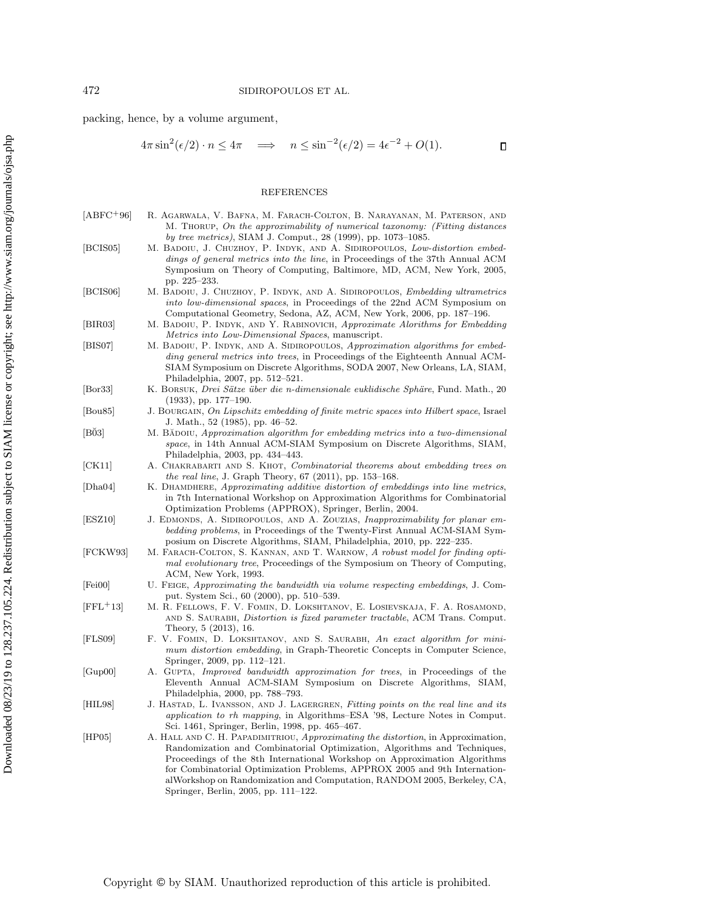packing, hence, by a volume argument,

$$
4\pi \sin^2(\epsilon/2) \cdot n \le 4\pi \quad \implies \quad n \le \sin^{-2}(\epsilon/2) = 4\epsilon^{-2} + O(1). \tag{1}
$$

## REFERENCES

<span id="page-18-6"></span>

| $[ABFC+96]$ | R. AGARWALA, V. BAFNA, M. FARACH-COLTON, B. NARAYANAN, M. PATERSON, AND              |
|-------------|--------------------------------------------------------------------------------------|
|             | M. THORUP, On the approximability of numerical taxonomy: (Fitting distances)         |
|             | by tree metrics), SIAM J. Comput., 28 (1999), pp. 1073–1085.                         |
| [BCIS05]    | M. BADOIU, J. CHUZHOY, P. INDYK, AND A. SIDIROPOULOS, Low-distortion embed-          |
|             | <i>dings of general metrics into the line, in Proceedings of the 37th Annual ACM</i> |
|             | $\alpha$ . The form in the MD and MIN $\alpha$                                       |

- <span id="page-18-14"></span><span id="page-18-10"></span>Symposium on Theory of Computing, Baltimore, MD, ACM, New York, 2005, pp. 225–233. [BCIS06] M. BADOIU, J. CHUZHOY, P. INDYK, AND A. SIDIROPOULOS, Embedding ultrametrics
	- into low-dimensional spaces, in Proceedings of the 22nd ACM Symposium on Computational Geometry, Sedona, AZ, ACM, New York, 2006, pp. 187–196.
- <span id="page-18-4"></span>[BIR03] M. BADOIU, P. INDYK, AND Y. RABINOVICH, Approximate Alorithms for Embedding Metrics into Low-Dimensional Spaces, manuscript.
- <span id="page-18-16"></span>[BIS07] M. BADOIU, P. INDYK, AND A. SIDIROPOULOS, Approximation algorithms for embedding general metrics into trees, in Proceedings of the Eighteenth Annual ACM-SIAM Symposium on Discrete Algorithms, SODA 2007, New Orleans, LA, SIAM, Philadelphia, 2007, pp. 512–521.
- <span id="page-18-0"></span>[Bor33] K. BORSUK, *Drei Sätze über die n-dimensionale euklidische Sphäre*, Fund. Math., 20 (1933), pp. 177–190.
- <span id="page-18-1"></span>[Bou85] J. BOURGAIN, On Lipschitz embedding of finite metric spaces into Hilbert space, Israel J. Math., 52 (1985), pp. 46–52.
- <span id="page-18-3"></span>[BŎ3] M. BĂDOIU, Approximation algorithm for embedding metrics into a two-dimensional space, in 14th Annual ACM-SIAM Symposium on Discrete Algorithms, SIAM, Philadelphia, 2003, pp. 434–443.
- <span id="page-18-13"></span>[CK11] A. Chakrabarti and S. Khot, Combinatorial theorems about embedding trees on the real line, J. Graph Theory, 67 (2011), pp. 153–168.
- <span id="page-18-7"></span>[Dha04] K. DHAMDHERE, Approximating additive distortion of embeddings into line metrics, in 7th International Workshop on Approximation Algorithms for Combinatorial Optimization Problems (APPROX), Springer, Berlin, 2004.
- <span id="page-18-15"></span>[ESZ10] J. EDMONDS, A. SIDIROPOULOS, AND A. ZOUZIAS, *Inapproximability for planar em*bedding problems, in Proceedings of the Twenty-First Annual ACM-SIAM Symposium on Discrete Algorithms, SIAM, Philadelphia, 2010, pp. 222–235.
- <span id="page-18-5"></span>[FCKW93] M. FARACH-COLTON, S. KANNAN, AND T. WARNOW, A robust model for finding optimal evolutionary tree, Proceedings of the Symposium on Theory of Computing, ACM, New York, 1993.
- <span id="page-18-8"></span>[Fei00] U. Feige, Approximating the bandwidth via volume respecting embeddings, J. Comput. System Sci., 60 (2000), pp. 510–539.
- <span id="page-18-11"></span>[FFL+13] M. R. Fellows, F. V. Fomin, D. Lokshtanov, E. Losievskaja, F. A. Rosamond, AND S. SAURABH, *Distortion is fixed parameter tractable*, ACM Trans. Comput. Theory, 5 (2013), 16.
- <span id="page-18-12"></span>[FLS09] F. V. Fomin, D. Lokshtanov, and S. Saurabh, An exact algorithm for minimum distortion embedding, in Graph-Theoretic Concepts in Computer Science, Springer, 2009, pp. 112–121.
- <span id="page-18-9"></span>[Gup00] A. GUPTA, *Improved bandwidth approximation for trees*, in Proceedings of the Eleventh Annual ACM-SIAM Symposium on Discrete Algorithms, SIAM, Philadelphia, 2000, pp. 788–793.
- <span id="page-18-2"></span>[HIL98] J. HASTAD, L. IVANSSON, AND J. LAGERGREN, Fitting points on the real line and its application to rh mapping, in Algorithms–ESA '98, Lecture Notes in Comput. Sci. 1461, Springer, Berlin, 1998, pp. 465–467.
- <span id="page-18-17"></span>[HP05] A. Hall and C. H. Papadimitriou, Approximating the distortion, in Approximation, Randomization and Combinatorial Optimization, Algorithms and Techniques, Proceedings of the 8th International Workshop on Approximation Algorithms for Combinatorial Optimization Problems, APPROX 2005 and 9th InternationalWorkshop on Randomization and Computation, RANDOM 2005, Berkeley, CA, Springer, Berlin, 2005, pp. 111–122.